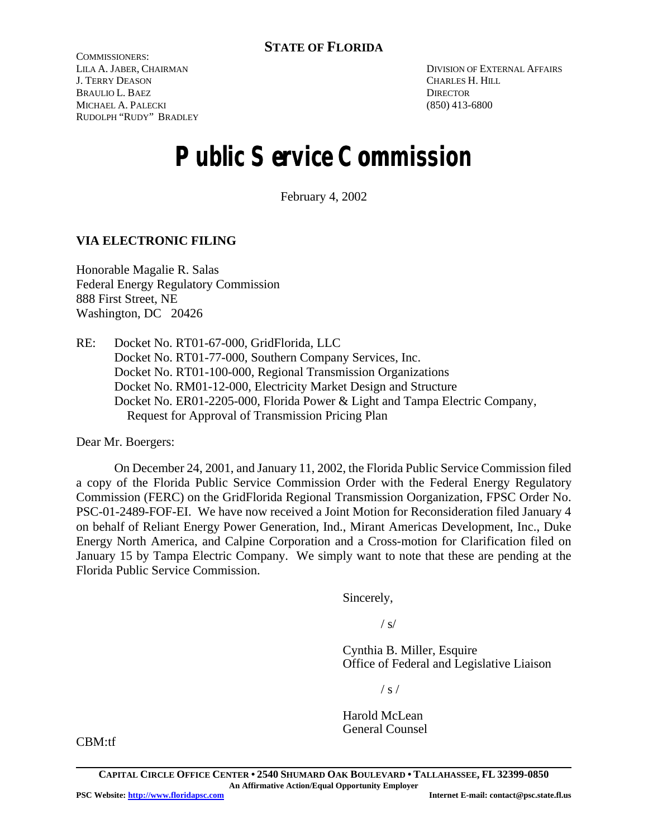COMMISSIONERS: LILA A. JABER, CHAIRMAN J. TERRY DEASON BRAULIO L. BAEZ MICHAEL A. PALECKI RUDOLPH "RUDY" BRADLEY

DIVISION OF EXTERNAL AFFAIRS CHARLES H. HILL **DIRECTOR** (850) 413-6800

# **Public Service Commission**

February 4, 2002

# **VIA ELECTRONIC FILING**

Honorable Magalie R. Salas Federal Energy Regulatory Commission 888 First Street, NE Washington, DC 20426

RE: Docket No. RT01-67-000, GridFlorida, LLC Docket No. RT01-77-000, Southern Company Services, Inc. Docket No. RT01-100-000, Regional Transmission Organizations Docket No. RM01-12-000, Electricity Market Design and Structure Docket No. ER01-2205-000, Florida Power & Light and Tampa Electric Company, Request for Approval of Transmission Pricing Plan

Dear Mr. Boergers:

On December 24, 2001, and January 11, 2002, the Florida Public Service Commission filed a copy of the Florida Public Service Commission Order with the Federal Energy Regulatory Commission (FERC) on the GridFlorida Regional Transmission Oorganization, FPSC Order No. PSC-01-2489-FOF-EI. We have now received a Joint Motion for Reconsideration filed January 4 on behalf of Reliant Energy Power Generation, Ind., Mirant Americas Development, Inc., Duke Energy North America, and Calpine Corporation and a Cross-motion for Clarification filed on January 15 by Tampa Electric Company. We simply want to note that these are pending at the Florida Public Service Commission.

Sincerely,

 $/ s/$ 

Cynthia B. Miller, Esquire Office of Federal and Legislative Liaison

 $/ s /$ 

Harold McLean General Counsel

CBM:tf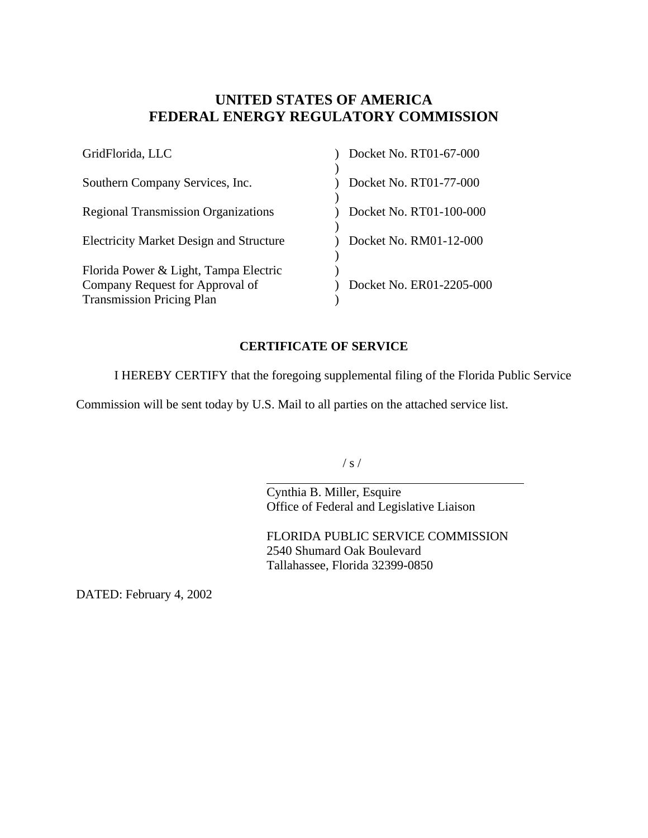# **UNITED STATES OF AMERICA FEDERAL ENERGY REGULATORY COMMISSION**

| GridFlorida, LLC                                                                                             | Docket No. RT01-67-000   |
|--------------------------------------------------------------------------------------------------------------|--------------------------|
| Southern Company Services, Inc.                                                                              | Docket No. RT01-77-000   |
| <b>Regional Transmission Organizations</b>                                                                   | Docket No. RT01-100-000  |
| <b>Electricity Market Design and Structure</b>                                                               | Docket No. RM01-12-000   |
| Florida Power & Light, Tampa Electric<br>Company Request for Approval of<br><b>Transmission Pricing Plan</b> | Docket No. ER01-2205-000 |

# **CERTIFICATE OF SERVICE**

I HEREBY CERTIFY that the foregoing supplemental filing of the Florida Public Service

Commission will be sent today by U.S. Mail to all parties on the attached service list.

 $/ s /$ 

 $\overline{a}$ Cynthia B. Miller, Esquire Office of Federal and Legislative Liaison

FLORIDA PUBLIC SERVICE COMMISSION 2540 Shumard Oak Boulevard Tallahassee, Florida 32399-0850

DATED: February 4, 2002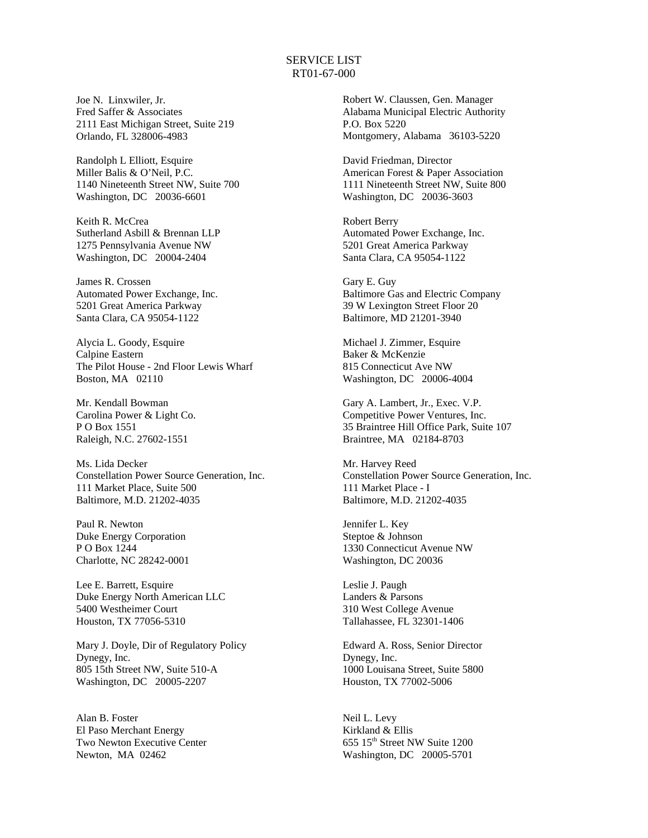## SERVICE LIST RT01-67-000

Joe N. Linxwiler, Jr. Fred Saffer & Associates 2111 East Michigan Street, Suite 219 Orlando, FL 328006-4983

Randolph L Elliott, Esquire Miller Balis & O'Neil, P.C. 1140 Nineteenth Street NW, Suite 700 Washington, DC 20036-6601

Keith R. McCrea Sutherland Asbill & Brennan LLP 1275 Pennsylvania Avenue NW Washington, DC 20004-2404

James R. Crossen Automated Power Exchange, Inc. 5201 Great America Parkway Santa Clara, CA 95054-1122

Alycia L. Goody, Esquire Calpine Eastern The Pilot House - 2nd Floor Lewis Wharf Boston, MA 02110

Mr. Kendall Bowman Carolina Power & Light Co. P O Box 1551 Raleigh, N.C. 27602-1551

Ms. Lida Decker Constellation Power Source Generation, Inc. 111 Market Place, Suite 500 Baltimore, M.D. 21202-4035

Paul R. Newton Duke Energy Corporation P O Box 1244 Charlotte, NC 28242-0001

Lee E. Barrett, Esquire Duke Energy North American LLC 5400 Westheimer Court Houston, TX 77056-5310

Mary J. Doyle, Dir of Regulatory Policy Dynegy, Inc. 805 15th Street NW, Suite 510-A Washington, DC 20005-2207

Alan B. Foster El Paso Merchant Energy Two Newton Executive Center Newton, MA 02462

Robert W. Claussen, Gen. Manager Alabama Municipal Electric Authority P.O. Box 5220 Montgomery, Alabama 36103-5220

David Friedman, Director American Forest & Paper Association 1111 Nineteenth Street NW, Suite 800 Washington, DC 20036-3603

Robert Berry Automated Power Exchange, Inc. 5201 Great America Parkway Santa Clara, CA 95054-1122

Gary E. Guy Baltimore Gas and Electric Company 39 W Lexington Street Floor 20 Baltimore, MD 21201-3940

Michael J. Zimmer, Esquire Baker & McKenzie 815 Connecticut Ave NW Washington, DC 20006-4004

Gary A. Lambert, Jr., Exec. V.P. Competitive Power Ventures, Inc. 35 Braintree Hill Office Park, Suite 107 Braintree, MA 02184-8703

Mr. Harvey Reed Constellation Power Source Generation, Inc. 111 Market Place - I Baltimore, M.D. 21202-4035

Jennifer L. Key Steptoe & Johnson 1330 Connecticut Avenue NW Washington, DC 20036

Leslie J. Paugh Landers & Parsons 310 West College Avenue Tallahassee, FL 32301-1406

Edward A. Ross, Senior Director Dynegy, Inc. 1000 Louisana Street, Suite 5800 Houston, TX 77002-5006

Neil L. Levy Kirkland & Ellis 655 15th Street NW Suite 1200 Washington, DC 20005-5701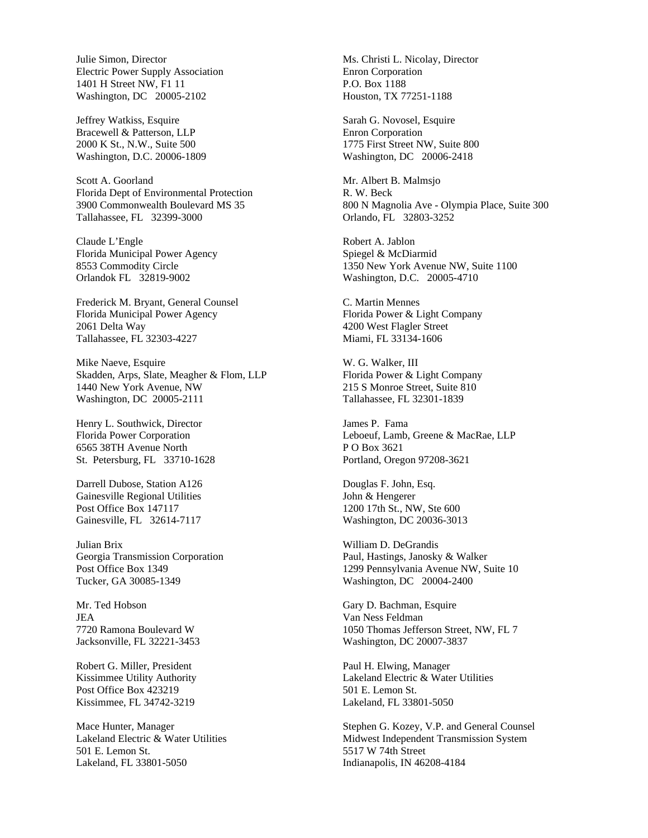Julie Simon, Director Electric Power Supply Association 1401 H Street NW, F1 11 Washington, DC 20005-2102

Jeffrey Watkiss, Esquire Bracewell & Patterson, LLP 2000 K St., N.W., Suite 500 Washington, D.C. 20006-1809

Scott A. Goorland Florida Dept of Environmental Protection 3900 Commonwealth Boulevard MS 35 Tallahassee, FL 32399-3000

Claude L'Engle Florida Municipal Power Agency 8553 Commodity Circle Orlandok FL 32819-9002

Frederick M. Bryant, General Counsel Florida Municipal Power Agency 2061 Delta Way Tallahassee, FL 32303-4227

Mike Naeve, Esquire Skadden, Arps, Slate, Meagher & Flom, LLP 1440 New York Avenue, NW Washington, DC 20005-2111

Henry L. Southwick, Director Florida Power Corporation 6565 38TH Avenue North St. Petersburg, FL 33710-1628

Darrell Dubose, Station A126 Gainesville Regional Utilities Post Office Box 147117 Gainesville, FL 32614-7117

Julian Brix Georgia Transmission Corporation Post Office Box 1349 Tucker, GA 30085-1349

Mr. Ted Hobson JEA 7720 Ramona Boulevard W Jacksonville, FL 32221-3453

Robert G. Miller, President Kissimmee Utility Authority Post Office Box 423219 Kissimmee, FL 34742-3219

Mace Hunter, Manager Lakeland Electric & Water Utilities 501 E. Lemon St. Lakeland, FL 33801-5050

Ms. Christi L. Nicolay, Director Enron Corporation P.O. Box 1188 Houston, TX 77251-1188

Sarah G. Novosel, Esquire Enron Corporation 1775 First Street NW, Suite 800 Washington, DC 20006-2418

Mr. Albert B. Malmsjo R. W. Beck 800 N Magnolia Ave - Olympia Place, Suite 300 Orlando, FL 32803-3252

Robert A. Jablon Spiegel & McDiarmid 1350 New York Avenue NW, Suite 1100 Washington, D.C. 20005-4710

C. Martin Mennes Florida Power & Light Company 4200 West Flagler Street Miami, FL 33134-1606

W. G. Walker, III Florida Power & Light Company 215 S Monroe Street, Suite 810 Tallahassee, FL 32301-1839

James P. Fama Leboeuf, Lamb, Greene & MacRae, LLP P O Box 3621 Portland, Oregon 97208-3621

Douglas F. John, Esq. John & Hengerer 1200 17th St., NW, Ste 600 Washington, DC 20036-3013

William D. DeGrandis Paul, Hastings, Janosky & Walker 1299 Pennsylvania Avenue NW, Suite 10 Washington, DC 20004-2400

Gary D. Bachman, Esquire Van Ness Feldman 1050 Thomas Jefferson Street, NW, FL 7 Washington, DC 20007-3837

Paul H. Elwing, Manager Lakeland Electric & Water Utilities 501 E. Lemon St. Lakeland, FL 33801-5050

Stephen G. Kozey, V.P. and General Counsel Midwest Independent Transmission System 5517 W 74th Street Indianapolis, IN 46208-4184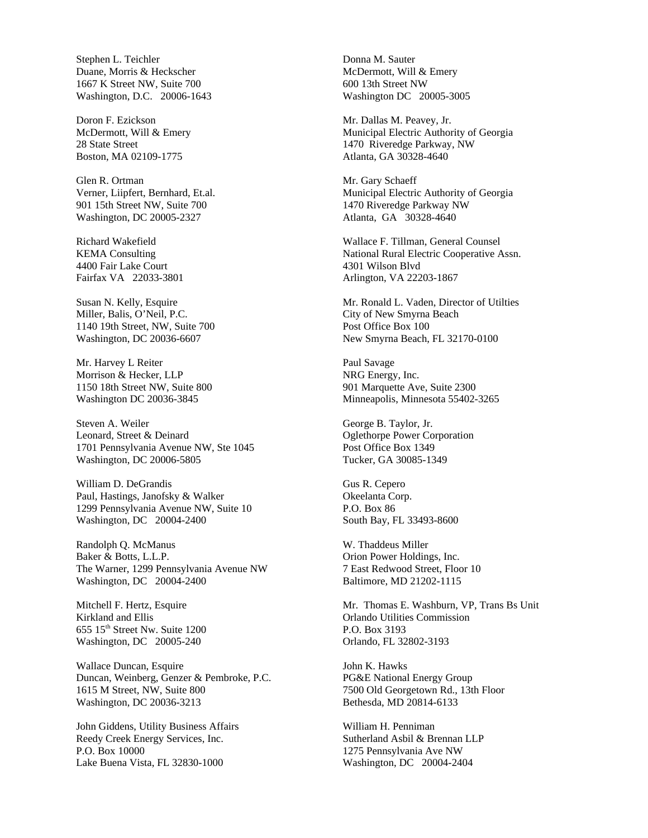Stephen L. Teichler Duane, Morris & Heckscher 1667 K Street NW, Suite 700 Washington, D.C. 20006-1643

Doron F. Ezickson McDermott, Will & Emery 28 State Street Boston, MA 02109-1775

Glen R. Ortman Verner, Liipfert, Bernhard, Et.al. 901 15th Street NW, Suite 700 Washington, DC 20005-2327

Richard Wakefield KEMA Consulting 4400 Fair Lake Court Fairfax VA 22033-3801

Susan N. Kelly, Esquire Miller, Balis, O'Neil, P.C. 1140 19th Street, NW, Suite 700 Washington, DC 20036-6607

Mr. Harvey L Reiter Morrison & Hecker, LLP 1150 18th Street NW, Suite 800 Washington DC 20036-3845

Steven A. Weiler Leonard, Street & Deinard 1701 Pennsylvania Avenue NW, Ste 1045 Washington, DC 20006-5805

William D. DeGrandis Paul, Hastings, Janofsky & Walker 1299 Pennsylvania Avenue NW, Suite 10 Washington, DC 20004-2400

Randolph Q. McManus Baker & Botts, L.L.P. The Warner, 1299 Pennsylvania Avenue NW Washington, DC 20004-2400

Mitchell F. Hertz, Esquire Kirkland and Ellis 655 15th Street Nw. Suite 1200 Washington, DC 20005-240

Wallace Duncan, Esquire Duncan, Weinberg, Genzer & Pembroke, P.C. 1615 M Street, NW, Suite 800 Washington, DC 20036-3213

John Giddens, Utility Business Affairs Reedy Creek Energy Services, Inc. P.O. Box 10000 Lake Buena Vista, FL 32830-1000

Donna M. Sauter McDermott, Will & Emery 600 13th Street NW Washington DC 20005-3005

Mr. Dallas M. Peavey, Jr. Municipal Electric Authority of Georgia 1470 Riveredge Parkway, NW Atlanta, GA 30328-4640

Mr. Gary Schaeff Municipal Electric Authority of Georgia 1470 Riveredge Parkway NW Atlanta, GA 30328-4640

Wallace F. Tillman, General Counsel National Rural Electric Cooperative Assn. 4301 Wilson Blvd Arlington, VA 22203-1867

Mr. Ronald L. Vaden, Director of Utilties City of New Smyrna Beach Post Office Box 100 New Smyrna Beach, FL 32170-0100

Paul Savage NRG Energy, Inc. 901 Marquette Ave, Suite 2300 Minneapolis, Minnesota 55402-3265

George B. Taylor, Jr. Oglethorpe Power Corporation Post Office Box 1349 Tucker, GA 30085-1349

Gus R. Cepero Okeelanta Corp. P.O. Box 86 South Bay, FL 33493-8600

W. Thaddeus Miller Orion Power Holdings, Inc. 7 East Redwood Street, Floor 10 Baltimore, MD 21202-1115

Mr. Thomas E. Washburn, VP, Trans Bs Unit Orlando Utilities Commission P.O. Box 3193 Orlando, FL 32802-3193

John K. Hawks PG&E National Energy Group 7500 Old Georgetown Rd., 13th Floor Bethesda, MD 20814-6133

William H. Penniman Sutherland Asbil & Brennan LLP 1275 Pennsylvania Ave NW Washington, DC 20004-2404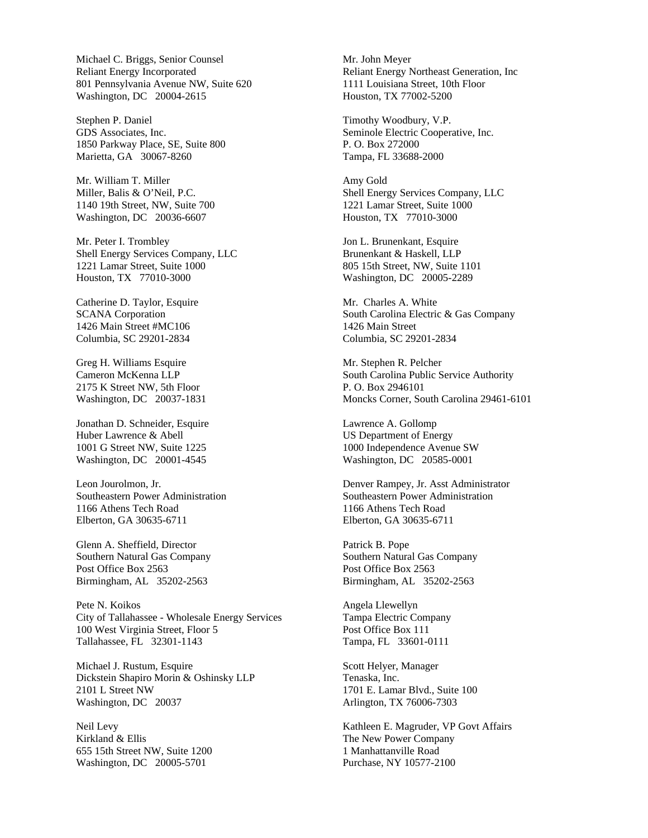Michael C. Briggs, Senior Counsel Reliant Energy Incorporated 801 Pennsylvania Avenue NW, Suite 620 Washington, DC 20004-2615

Stephen P. Daniel GDS Associates, Inc. 1850 Parkway Place, SE, Suite 800 Marietta, GA 30067-8260

Mr. William T. Miller Miller, Balis & O'Neil, P.C. 1140 19th Street, NW, Suite 700 Washington, DC 20036-6607

Mr. Peter I. Trombley Shell Energy Services Company, LLC 1221 Lamar Street, Suite 1000 Houston, TX 77010-3000

Catherine D. Taylor, Esquire SCANA Corporation 1426 Main Street #MC106 Columbia, SC 29201-2834

Greg H. Williams Esquire Cameron McKenna LLP 2175 K Street NW, 5th Floor Washington, DC 20037-1831

Jonathan D. Schneider, Esquire Huber Lawrence & Abell 1001 G Street NW, Suite 1225 Washington, DC 20001-4545

Leon Jourolmon, Jr. Southeastern Power Administration 1166 Athens Tech Road Elberton, GA 30635-6711

Glenn A. Sheffield, Director Southern Natural Gas Company Post Office Box 2563 Birmingham, AL 35202-2563

Pete N. Koikos City of Tallahassee - Wholesale Energy Services 100 West Virginia Street, Floor 5 Tallahassee, FL 32301-1143

Michael J. Rustum, Esquire Dickstein Shapiro Morin & Oshinsky LLP 2101 L Street NW Washington, DC 20037

Neil Levy Kirkland & Ellis 655 15th Street NW, Suite 1200 Washington, DC 20005-5701

Mr. John Meyer Reliant Energy Northeast Generation, Inc 1111 Louisiana Street, 10th Floor Houston, TX 77002-5200

Timothy Woodbury, V.P. Seminole Electric Cooperative, Inc. P. O. Box 272000 Tampa, FL 33688-2000

Amy Gold Shell Energy Services Company, LLC 1221 Lamar Street, Suite 1000 Houston, TX 77010-3000

Jon L. Brunenkant, Esquire Brunenkant & Haskell, LLP 805 15th Street, NW, Suite 1101 Washington, DC 20005-2289

Mr. Charles A. White South Carolina Electric & Gas Company 1426 Main Street Columbia, SC 29201-2834

Mr. Stephen R. Pelcher South Carolina Public Service Authority P. O. Box 2946101 Moncks Corner, South Carolina 29461-6101

Lawrence A. Gollomp US Department of Energy 1000 Independence Avenue SW Washington, DC 20585-0001

Denver Rampey, Jr. Asst Administrator Southeastern Power Administration 1166 Athens Tech Road Elberton, GA 30635-6711

Patrick B. Pope Southern Natural Gas Company Post Office Box 2563 Birmingham, AL 35202-2563

Angela Llewellyn Tampa Electric Company Post Office Box 111 Tampa, FL 33601-0111

Scott Helyer, Manager Tenaska, Inc. 1701 E. Lamar Blvd., Suite 100 Arlington, TX 76006-7303

Kathleen E. Magruder, VP Govt Affairs The New Power Company 1 Manhattanville Road Purchase, NY 10577-2100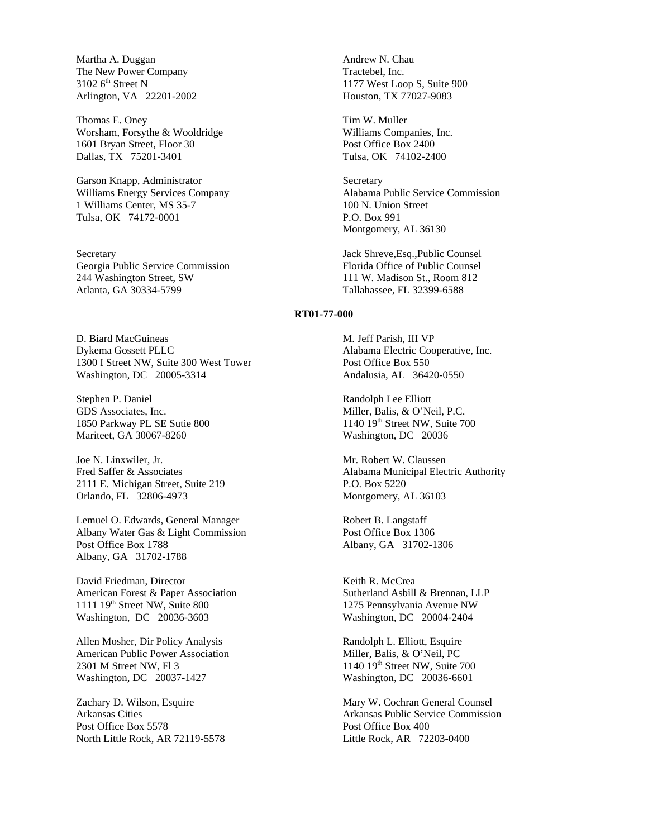Martha A. Duggan The New Power Company  $3102$  6<sup>th</sup> Street N Arlington, VA 22201-2002

Thomas E. Oney Worsham, Forsythe & Wooldridge 1601 Bryan Street, Floor 30 Dallas, TX 75201-3401

Garson Knapp, Administrator Williams Energy Services Company 1 Williams Center, MS 35-7 Tulsa, OK 74172-0001

Secretary Georgia Public Service Commission 244 Washington Street, SW Atlanta, GA 30334-5799

D. Biard MacGuineas Dykema Gossett PLLC 1300 I Street NW, Suite 300 West Tower Washington, DC 20005-3314

Stephen P. Daniel GDS Associates, Inc. 1850 Parkway PL SE Sutie 800 Mariteet, GA 30067-8260

Joe N. Linxwiler, Jr. Fred Saffer & Associates 2111 E. Michigan Street, Suite 219 Orlando, FL 32806-4973

Lemuel O. Edwards, General Manager Albany Water Gas & Light Commission Post Office Box 1788 Albany, GA 31702-1788

David Friedman, Director American Forest & Paper Association 1111 19th Street NW, Suite 800 Washington, DC 20036-3603

Allen Mosher, Dir Policy Analysis American Public Power Association 2301 M Street NW, Fl 3 Washington, DC 20037-1427

Zachary D. Wilson, Esquire Arkansas Cities Post Office Box 5578 North Little Rock, AR 72119-5578 Andrew N. Chau Tractebel, Inc. 1177 West Loop S, Suite 900 Houston, TX 77027-9083

Tim W. Muller Williams Companies, Inc. Post Office Box 2400 Tulsa, OK 74102-2400

**Secretary** Alabama Public Service Commission 100 N. Union Street P.O. Box 991 Montgomery, AL 36130

Jack Shreve,Esq.,Public Counsel Florida Office of Public Counsel 111 W. Madison St., Room 812 Tallahassee, FL 32399-6588

## **RT01-77-000**

M. Jeff Parish, III VP Alabama Electric Cooperative, Inc. Post Office Box 550 Andalusia, AL 36420-0550

Randolph Lee Elliott Miller, Balis, & O'Neil, P.C.  $1140$   $19<sup>th</sup>$  Street NW, Suite 700 Washington, DC 20036

Mr. Robert W. Claussen Alabama Municipal Electric Authority P.O. Box 5220 Montgomery, AL 36103

Robert B. Langstaff Post Office Box 1306 Albany, GA 31702-1306

Keith R. McCrea Sutherland Asbill & Brennan, LLP 1275 Pennsylvania Avenue NW Washington, DC 20004-2404

Randolph L. Elliott, Esquire Miller, Balis, & O'Neil, PC  $1140$   $19<sup>th</sup>$  Street NW, Suite 700 Washington, DC 20036-6601

Mary W. Cochran General Counsel Arkansas Public Service Commission Post Office Box 400 Little Rock, AR 72203-0400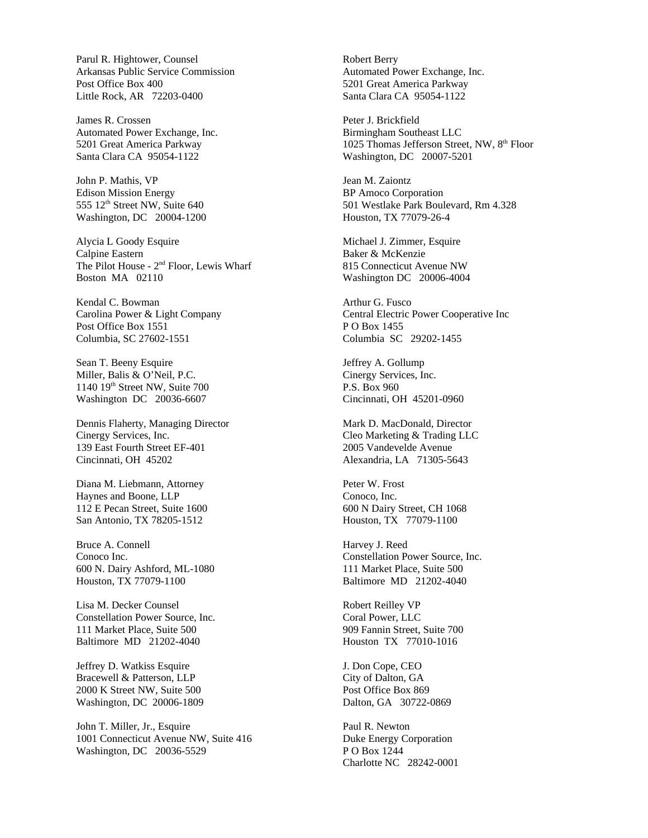Parul R. Hightower, Counsel Arkansas Public Service Commission Post Office Box 400 Little Rock, AR 72203-0400

James R. Crossen Automated Power Exchange, Inc. 5201 Great America Parkway Santa Clara CA 95054-1122

John P. Mathis, VP Edison Mission Energy 555 12<sup>th</sup> Street NW, Suite 640 Washington, DC 20004-1200

Alycia L Goody Esquire Calpine Eastern The Pilot House - 2nd Floor, Lewis Wharf Boston MA 02110

Kendal C. Bowman Carolina Power & Light Company Post Office Box 1551 Columbia, SC 27602-1551

Sean T. Beeny Esquire Miller, Balis & O'Neil, P.C. 1140 19th Street NW, Suite 700 Washington DC 20036-6607

Dennis Flaherty, Managing Director Cinergy Services, Inc. 139 East Fourth Street EF-401 Cincinnati, OH 45202

Diana M. Liebmann, Attorney Haynes and Boone, LLP 112 E Pecan Street, Suite 1600 San Antonio, TX 78205-1512

Bruce A. Connell Conoco Inc. 600 N. Dairy Ashford, ML-1080 Houston, TX 77079-1100

Lisa M. Decker Counsel Constellation Power Source, Inc. 111 Market Place, Suite 500 Baltimore MD 21202-4040

Jeffrey D. Watkiss Esquire Bracewell & Patterson, LLP 2000 K Street NW, Suite 500 Washington, DC 20006-1809

John T. Miller, Jr., Esquire 1001 Connecticut Avenue NW, Suite 416 Washington, DC 20036-5529

Robert Berry Automated Power Exchange, Inc. 5201 Great America Parkway Santa Clara CA 95054-1122

Peter J. Brickfield Birmingham Southeast LLC 1025 Thomas Jefferson Street, NW, 8th Floor Washington, DC 20007-5201

Jean M. Zaiontz BP Amoco Corporation 501 Westlake Park Boulevard, Rm 4.328 Houston, TX 77079-26-4

Michael J. Zimmer, Esquire Baker & McKenzie 815 Connecticut Avenue NW Washington DC 20006-4004

Arthur G. Fusco Central Electric Power Cooperative Inc P O Box 1455 Columbia SC 29202-1455

Jeffrey A. Gollump Cinergy Services, Inc. P.S. Box 960 Cincinnati, OH 45201-0960

Mark D. MacDonald, Director Cleo Marketing & Trading LLC 2005 Vandevelde Avenue Alexandria, LA 71305-5643

Peter W. Frost Conoco, Inc. 600 N Dairy Street, CH 1068 Houston, TX 77079-1100

Harvey J. Reed Constellation Power Source, Inc. 111 Market Place, Suite 500 Baltimore MD 21202-4040

Robert Reilley VP Coral Power, LLC 909 Fannin Street, Suite 700 Houston TX 77010-1016

J. Don Cope, CEO City of Dalton, GA Post Office Box 869 Dalton, GA 30722-0869

Paul R. Newton Duke Energy Corporation P O Box 1244 Charlotte NC 28242-0001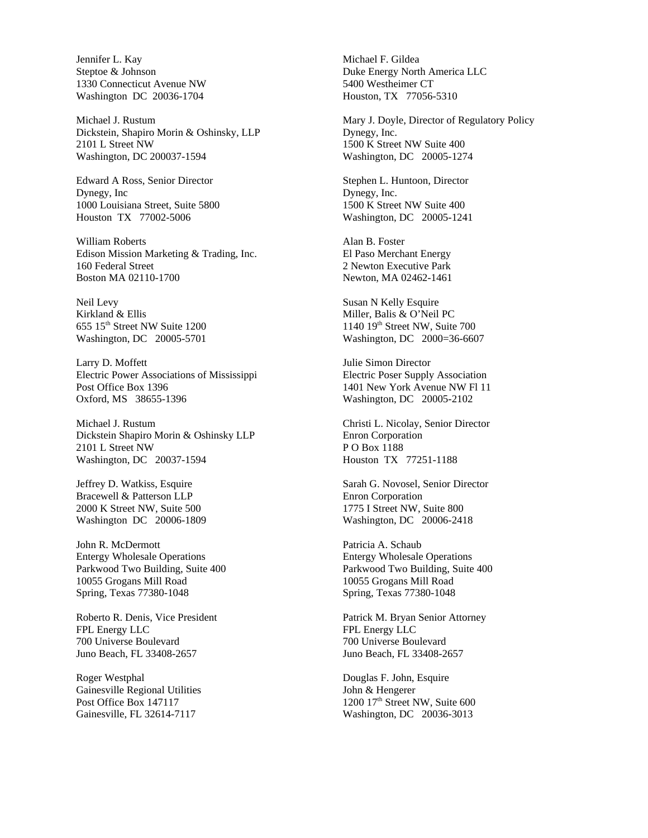Jennifer L. Kay Steptoe & Johnson 1330 Connecticut Avenue NW Washington DC 20036-1704

Michael J. Rustum Dickstein, Shapiro Morin & Oshinsky, LLP 2101 L Street NW Washington, DC 200037-1594

Edward A Ross, Senior Director Dynegy, Inc 1000 Louisiana Street, Suite 5800 Houston TX 77002-5006

William Roberts Edison Mission Marketing & Trading, Inc. 160 Federal Street Boston MA 02110-1700

Neil Levy Kirkland & Ellis 655 15th Street NW Suite 1200 Washington, DC 20005-5701

Larry D. Moffett Electric Power Associations of Mississippi Post Office Box 1396 Oxford, MS 38655-1396

Michael J. Rustum Dickstein Shapiro Morin & Oshinsky LLP 2101 L Street NW Washington, DC 20037-1594

Jeffrey D. Watkiss, Esquire Bracewell & Patterson LLP 2000 K Street NW, Suite 500 Washington DC 20006-1809

John R. McDermott Entergy Wholesale Operations Parkwood Two Building, Suite 400 10055 Grogans Mill Road Spring, Texas 77380-1048

Roberto R. Denis, Vice President FPL Energy LLC 700 Universe Boulevard Juno Beach, FL 33408-2657

Roger Westphal Gainesville Regional Utilities Post Office Box 147117 Gainesville, FL 32614-7117

Michael F. Gildea Duke Energy North America LLC 5400 Westheimer CT Houston, TX 77056-5310

Mary J. Doyle, Director of Regulatory Policy Dynegy, Inc. 1500 K Street NW Suite 400 Washington, DC 20005-1274

Stephen L. Huntoon, Director Dynegy, Inc. 1500 K Street NW Suite 400 Washington, DC 20005-1241

Alan B. Foster El Paso Merchant Energy 2 Newton Executive Park Newton, MA 02462-1461

Susan N Kelly Esquire Miller, Balis & O'Neil PC 1140 19th Street NW, Suite 700 Washington, DC 2000=36-6607

Julie Simon Director Electric Poser Supply Association 1401 New York Avenue NW Fl 11 Washington, DC 20005-2102

Christi L. Nicolay, Senior Director Enron Corporation P O Box 1188 Houston TX 77251-1188

Sarah G. Novosel, Senior Director Enron Corporation 1775 I Street NW, Suite 800 Washington, DC 20006-2418

Patricia A. Schaub Entergy Wholesale Operations Parkwood Two Building, Suite 400 10055 Grogans Mill Road Spring, Texas 77380-1048

Patrick M. Bryan Senior Attorney FPL Energy LLC 700 Universe Boulevard Juno Beach, FL 33408-2657

Douglas F. John, Esquire John & Hengerer 1200 17<sup>th</sup> Street NW, Suite 600 Washington, DC 20036-3013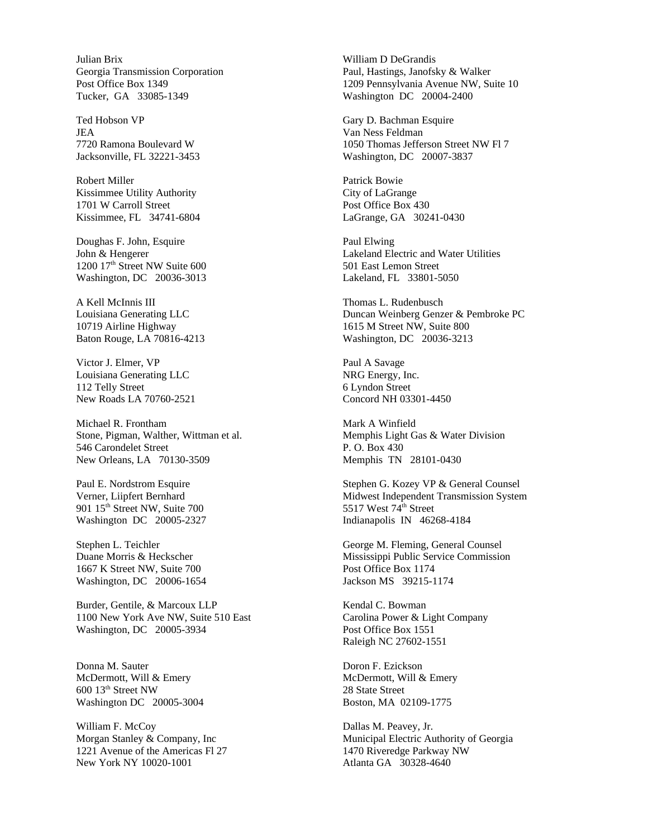Julian Brix Georgia Transmission Corporation Post Office Box 1349 Tucker, GA 33085-1349

Ted Hobson VP JEA 7720 Ramona Boulevard W Jacksonville, FL 32221-3453

Robert Miller Kissimmee Utility Authority 1701 W Carroll Street Kissimmee, FL 34741-6804

Doughas F. John, Esquire John & Hengerer 1200 17<sup>th</sup> Street NW Suite 600 Washington, DC 20036-3013

A Kell McInnis III Louisiana Generating LLC 10719 Airline Highway Baton Rouge, LA 70816-4213

Victor J. Elmer, VP Louisiana Generating LLC 112 Telly Street New Roads LA 70760-2521

Michael R. Frontham Stone, Pigman, Walther, Wittman et al. 546 Carondelet Street New Orleans, LA 70130-3509

Paul E. Nordstrom Esquire Verner, Liipfert Bernhard 901 15<sup>th</sup> Street NW, Suite 700 Washington DC 20005-2327

Stephen L. Teichler Duane Morris & Heckscher 1667 K Street NW, Suite 700 Washington, DC 20006-1654

Burder, Gentile, & Marcoux LLP 1100 New York Ave NW, Suite 510 East Washington, DC 20005-3934

Donna M. Sauter McDermott, Will & Emery 600 13th Street NW Washington DC 20005-3004

William F. McCoy Morgan Stanley & Company, Inc 1221 Avenue of the Americas Fl 27 New York NY 10020-1001

William D DeGrandis Paul, Hastings, Janofsky & Walker 1209 Pennsylvania Avenue NW, Suite 10 Washington DC 20004-2400

Gary D. Bachman Esquire Van Ness Feldman 1050 Thomas Jefferson Street NW Fl 7 Washington, DC 20007-3837

Patrick Bowie City of LaGrange Post Office Box 430 LaGrange, GA 30241-0430

Paul Elwing Lakeland Electric and Water Utilities 501 East Lemon Street Lakeland, FL 33801-5050

Thomas L. Rudenbusch Duncan Weinberg Genzer & Pembroke PC 1615 M Street NW, Suite 800 Washington, DC 20036-3213

Paul A Savage NRG Energy, Inc. 6 Lyndon Street Concord NH 03301-4450

Mark A Winfield Memphis Light Gas & Water Division P. O. Box 430 Memphis TN 28101-0430

Stephen G. Kozey VP & General Counsel Midwest Independent Transmission System 5517 West 74<sup>th</sup> Street Indianapolis IN 46268-4184

George M. Fleming, General Counsel Mississippi Public Service Commission Post Office Box 1174 Jackson MS 39215-1174

Kendal C. Bowman Carolina Power & Light Company Post Office Box 1551 Raleigh NC 27602-1551

Doron F. Ezickson McDermott, Will & Emery 28 State Street Boston, MA 02109-1775

Dallas M. Peavey, Jr. Municipal Electric Authority of Georgia 1470 Riveredge Parkway NW Atlanta GA 30328-4640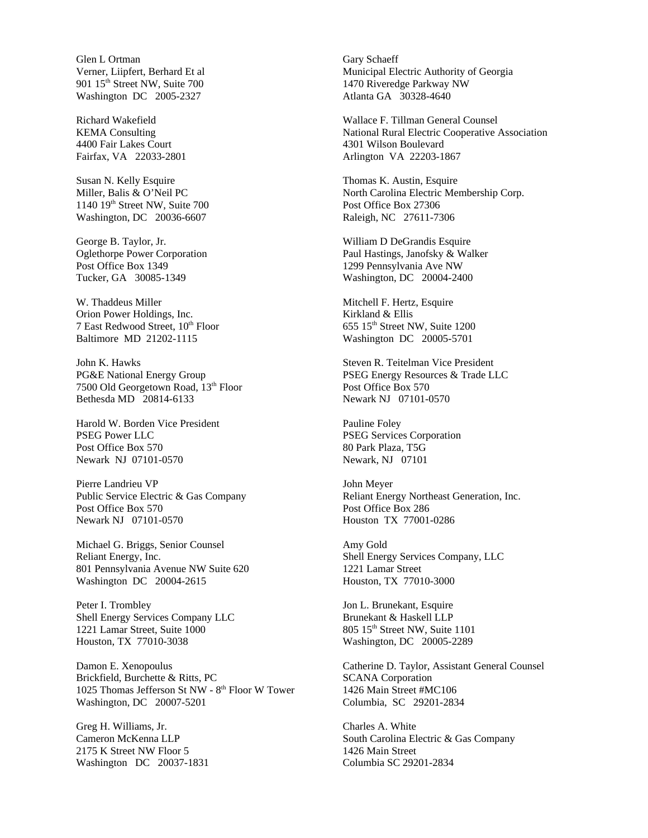Glen L Ortman Verner, Liipfert, Berhard Et al 901 15th Street NW, Suite 700 Washington DC 2005-2327

Richard Wakefield KEMA Consulting 4400 Fair Lakes Court Fairfax, VA 22033-2801

Susan N. Kelly Esquire Miller, Balis & O'Neil PC 1140 19<sup>th</sup> Street NW, Suite 700 Washington, DC 20036-6607

George B. Taylor, Jr. Oglethorpe Power Corporation Post Office Box 1349 Tucker, GA 30085-1349

W. Thaddeus Miller Orion Power Holdings, Inc. 7 East Redwood Street, 10<sup>th</sup> Floor Baltimore MD 21202-1115

John K. Hawks PG&E National Energy Group 7500 Old Georgetown Road, 13th Floor Bethesda MD 20814-6133

Harold W. Borden Vice President PSEG Power LLC Post Office Box 570 Newark NJ 07101-0570

Pierre Landrieu VP Public Service Electric & Gas Company Post Office Box 570 Newark NJ 07101-0570

Michael G. Briggs, Senior Counsel Reliant Energy, Inc. 801 Pennsylvania Avenue NW Suite 620 Washington DC 20004-2615

Peter I. Trombley Shell Energy Services Company LLC 1221 Lamar Street, Suite 1000 Houston, TX 77010-3038

Damon E. Xenopoulus Brickfield, Burchette & Ritts, PC 1025 Thomas Jefferson St NW - 8th Floor W Tower Washington, DC 20007-5201

Greg H. Williams, Jr. Cameron McKenna LLP 2175 K Street NW Floor 5 Washington DC 20037-1831 Gary Schaeff Municipal Electric Authority of Georgia 1470 Riveredge Parkway NW Atlanta GA 30328-4640

Wallace F. Tillman General Counsel National Rural Electric Cooperative Association 4301 Wilson Boulevard Arlington VA 22203-1867

Thomas K. Austin, Esquire North Carolina Electric Membership Corp. Post Office Box 27306 Raleigh, NC 27611-7306

William D DeGrandis Esquire Paul Hastings, Janofsky & Walker 1299 Pennsylvania Ave NW Washington, DC 20004-2400

Mitchell F. Hertz, Esquire Kirkland & Ellis 655 15th Street NW, Suite 1200 Washington DC 20005-5701

Steven R. Teitelman Vice President PSEG Energy Resources & Trade LLC Post Office Box 570 Newark NJ 07101-0570

Pauline Foley PSEG Services Corporation 80 Park Plaza, T5G Newark, NJ 07101

John Meyer Reliant Energy Northeast Generation, Inc. Post Office Box 286 Houston TX 77001-0286

Amy Gold Shell Energy Services Company, LLC 1221 Lamar Street Houston, TX 77010-3000

Jon L. Brunekant, Esquire Brunekant & Haskell LLP 805 15<sup>th</sup> Street NW, Suite 1101 Washington, DC 20005-2289

Catherine D. Taylor, Assistant General Counsel SCANA Corporation 1426 Main Street #MC106 Columbia, SC 29201-2834

Charles A. White South Carolina Electric & Gas Company 1426 Main Street Columbia SC 29201-2834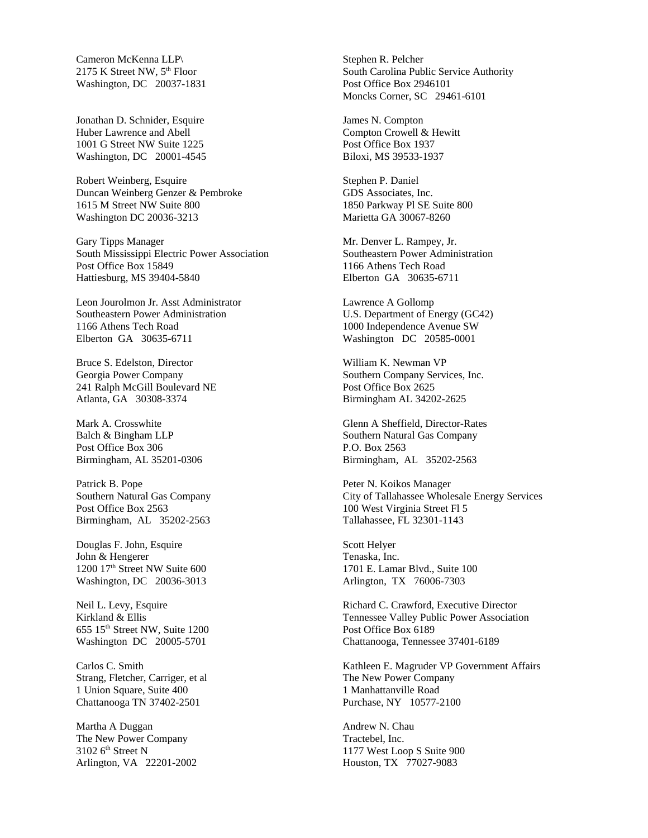Cameron McKenna LLP\ 2175 K Street NW,  $5<sup>th</sup>$  Floor Washington, DC 20037-1831

Jonathan D. Schnider, Esquire Huber Lawrence and Abell 1001 G Street NW Suite 1225 Washington, DC 20001-4545

Robert Weinberg, Esquire Duncan Weinberg Genzer & Pembroke 1615 M Street NW Suite 800 Washington DC 20036-3213

Gary Tipps Manager South Mississippi Electric Power Association Post Office Box 15849 Hattiesburg, MS 39404-5840

Leon Jourolmon Jr. Asst Administrator Southeastern Power Administration 1166 Athens Tech Road Elberton GA 30635-6711

Bruce S. Edelston, Director Georgia Power Company 241 Ralph McGill Boulevard NE Atlanta, GA 30308-3374

Mark A. Crosswhite Balch & Bingham LLP Post Office Box 306 Birmingham, AL 35201-0306

Patrick B. Pope Southern Natural Gas Company Post Office Box 2563 Birmingham, AL 35202-2563

Douglas F. John, Esquire John & Hengerer 1200 17<sup>th</sup> Street NW Suite 600 Washington, DC 20036-3013

Neil L. Levy, Esquire Kirkland & Ellis 655 15th Street NW, Suite 1200 Washington DC 20005-5701

Carlos C. Smith Strang, Fletcher, Carriger, et al 1 Union Square, Suite 400 Chattanooga TN 37402-2501

Martha A Duggan The New Power Company  $3102$  6<sup>th</sup> Street N Arlington, VA 22201-2002 Stephen R. Pelcher South Carolina Public Service Authority Post Office Box 2946101 Moncks Corner, SC 29461-6101

James N. Compton Compton Crowell & Hewitt Post Office Box 1937 Biloxi, MS 39533-1937

Stephen P. Daniel GDS Associates, Inc. 1850 Parkway Pl SE Suite 800 Marietta GA 30067-8260

Mr. Denver L. Rampey, Jr. Southeastern Power Administration 1166 Athens Tech Road Elberton GA 30635-6711

Lawrence A Gollomp U.S. Department of Energy (GC42) 1000 Independence Avenue SW Washington DC 20585-0001

William K. Newman VP Southern Company Services, Inc. Post Office Box 2625 Birmingham AL 34202-2625

Glenn A Sheffield, Director-Rates Southern Natural Gas Company P.O. Box 2563 Birmingham, AL 35202-2563

Peter N. Koikos Manager City of Tallahassee Wholesale Energy Services 100 West Virginia Street Fl 5 Tallahassee, FL 32301-1143

Scott Helyer Tenaska, Inc. 1701 E. Lamar Blvd., Suite 100 Arlington, TX 76006-7303

Richard C. Crawford, Executive Director Tennessee Valley Public Power Association Post Office Box 6189 Chattanooga, Tennessee 37401-6189

Kathleen E. Magruder VP Government Affairs The New Power Company 1 Manhattanville Road Purchase, NY 10577-2100

Andrew N. Chau Tractebel, Inc. 1177 West Loop S Suite 900 Houston, TX 77027-9083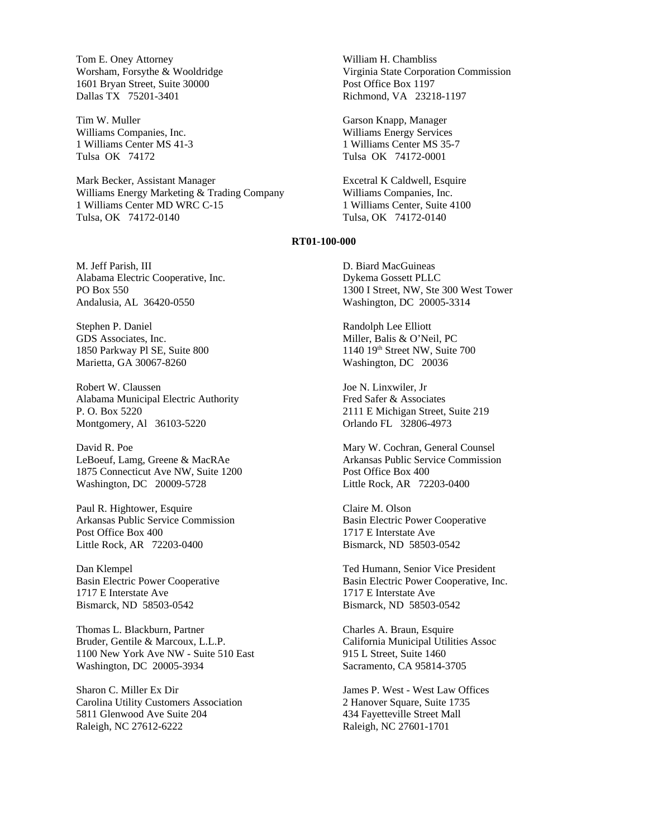Tom E. Oney Attorney Worsham, Forsythe & Wooldridge 1601 Bryan Street, Suite 30000 Dallas TX 75201-3401

Tim W. Muller Williams Companies, Inc. 1 Williams Center MS 41-3 Tulsa OK 74172

Mark Becker, Assistant Manager Williams Energy Marketing & Trading Company 1 Williams Center MD WRC C-15 Tulsa, OK 74172-0140

M. Jeff Parish, III Alabama Electric Cooperative, Inc. PO Box 550 Andalusia, AL 36420-0550

Stephen P. Daniel GDS Associates, Inc. 1850 Parkway Pl SE, Suite 800 Marietta, GA 30067-8260

Robert W. Claussen Alabama Municipal Electric Authority P. O. Box 5220 Montgomery, Al 36103-5220

David R. Poe LeBoeuf, Lamg, Greene & MacRAe 1875 Connecticut Ave NW, Suite 1200 Washington, DC 20009-5728

Paul R. Hightower, Esquire Arkansas Public Service Commission Post Office Box 400 Little Rock, AR 72203-0400

Dan Klempel Basin Electric Power Cooperative 1717 E Interstate Ave Bismarck, ND 58503-0542

Thomas L. Blackburn, Partner Bruder, Gentile & Marcoux, L.L.P. 1100 New York Ave NW - Suite 510 East Washington, DC 20005-3934

Sharon C. Miller Ex Dir Carolina Utility Customers Association 5811 Glenwood Ave Suite 204 Raleigh, NC 27612-6222

William H. Chambliss Virginia State Corporation Commission Post Office Box 1197 Richmond, VA 23218-1197

Garson Knapp, Manager Williams Energy Services 1 Williams Center MS 35-7 Tulsa OK 74172-0001

Excetral K Caldwell, Esquire Williams Companies, Inc. 1 Williams Center, Suite 4100 Tulsa, OK 74172-0140

### **RT01-100-000**

D. Biard MacGuineas Dykema Gossett PLLC 1300 I Street, NW, Ste 300 West Tower Washington, DC 20005-3314

Randolph Lee Elliott Miller, Balis & O'Neil, PC 1140 19th Street NW, Suite 700 Washington, DC 20036

Joe N. Linxwiler, Jr Fred Safer & Associates 2111 E Michigan Street, Suite 219 Orlando FL 32806-4973

Mary W. Cochran, General Counsel Arkansas Public Service Commission Post Office Box 400 Little Rock, AR 72203-0400

Claire M. Olson Basin Electric Power Cooperative 1717 E Interstate Ave Bismarck, ND 58503-0542

Ted Humann, Senior Vice President Basin Electric Power Cooperative, Inc. 1717 E Interstate Ave Bismarck, ND 58503-0542

Charles A. Braun, Esquire California Municipal Utilities Assoc 915 L Street, Suite 1460 Sacramento, CA 95814-3705

James P. West - West Law Offices 2 Hanover Square, Suite 1735 434 Fayetteville Street Mall Raleigh, NC 27601-1701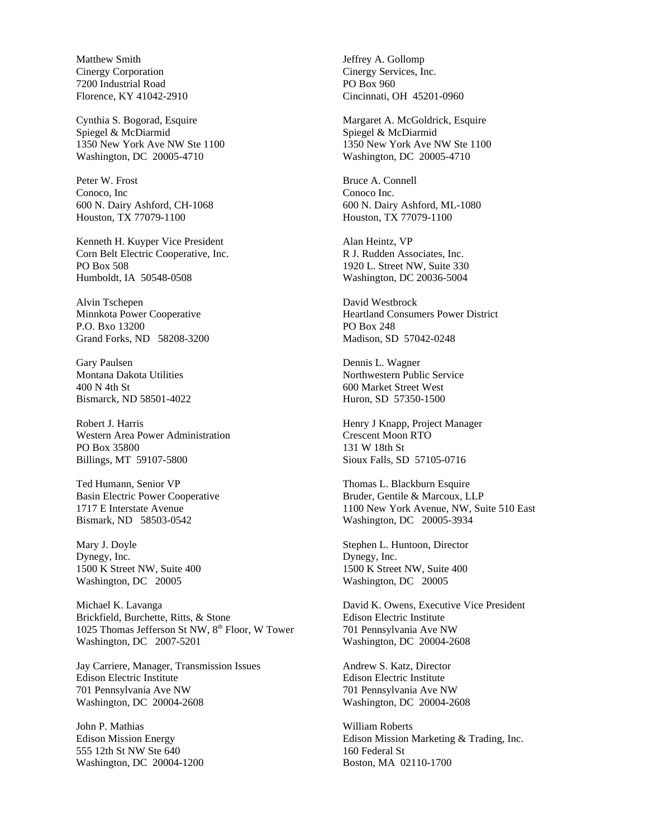Matthew Smith Cinergy Corporation 7200 Industrial Road Florence, KY 41042-2910

Cynthia S. Bogorad, Esquire Spiegel & McDiarmid 1350 New York Ave NW Ste 1100 Washington, DC 20005-4710

Peter W. Frost Conoco, Inc 600 N. Dairy Ashford, CH-1068 Houston, TX 77079-1100

Kenneth H. Kuyper Vice President Corn Belt Electric Cooperative, Inc. PO Box 508 Humboldt, IA 50548-0508

Alvin Tschepen Minnkota Power Cooperative P.O. Bxo 13200 Grand Forks, ND 58208-3200

Gary Paulsen Montana Dakota Utilities 400 N 4th St Bismarck, ND 58501-4022

Robert J. Harris Western Area Power Administration PO Box 35800 Billings, MT 59107-5800

Ted Humann, Senior VP Basin Electric Power Cooperative 1717 E Interstate Avenue Bismark, ND 58503-0542

Mary J. Doyle Dynegy, Inc. 1500 K Street NW, Suite 400 Washington, DC 20005

Michael K. Lavanga Brickfield, Burchette, Ritts, & Stone 1025 Thomas Jefferson St NW, 8<sup>th</sup> Floor, W Tower Washington, DC 2007-5201

Jay Carriere, Manager, Transmission Issues Edison Electric Institute 701 Pennsylvania Ave NW Washington, DC 20004-2608

John P. Mathias Edison Mission Energy 555 12th St NW Ste 640 Washington, DC 20004-1200 Jeffrey A. Gollomp Cinergy Services, Inc. PO Box 960 Cincinnati, OH 45201-0960

Margaret A. McGoldrick, Esquire Spiegel & McDiarmid 1350 New York Ave NW Ste 1100 Washington, DC 20005-4710

Bruce A. Connell Conoco Inc. 600 N. Dairy Ashford, ML-1080 Houston, TX 77079-1100

Alan Heintz, VP R J. Rudden Associates, Inc. 1920 L. Street NW, Suite 330 Washington, DC 20036-5004

David Westbrock Heartland Consumers Power District PO Box 248 Madison, SD 57042-0248

Dennis L. Wagner Northwestern Public Service 600 Market Street West Huron, SD 57350-1500

Henry J Knapp, Project Manager Crescent Moon RTO 131 W 18th St Sioux Falls, SD 57105-0716

Thomas L. Blackburn Esquire Bruder, Gentile & Marcoux, LLP 1100 New York Avenue, NW, Suite 510 East Washington, DC 20005-3934

Stephen L. Huntoon, Director Dynegy, Inc. 1500 K Street NW, Suite 400 Washington, DC 20005

David K. Owens, Executive Vice President Edison Electric Institute 701 Pennsylvania Ave NW Washington, DC 20004-2608

Andrew S. Katz, Director Edison Electric Institute 701 Pennsylvania Ave NW Washington, DC 20004-2608

William Roberts Edison Mission Marketing & Trading, Inc. 160 Federal St Boston, MA 02110-1700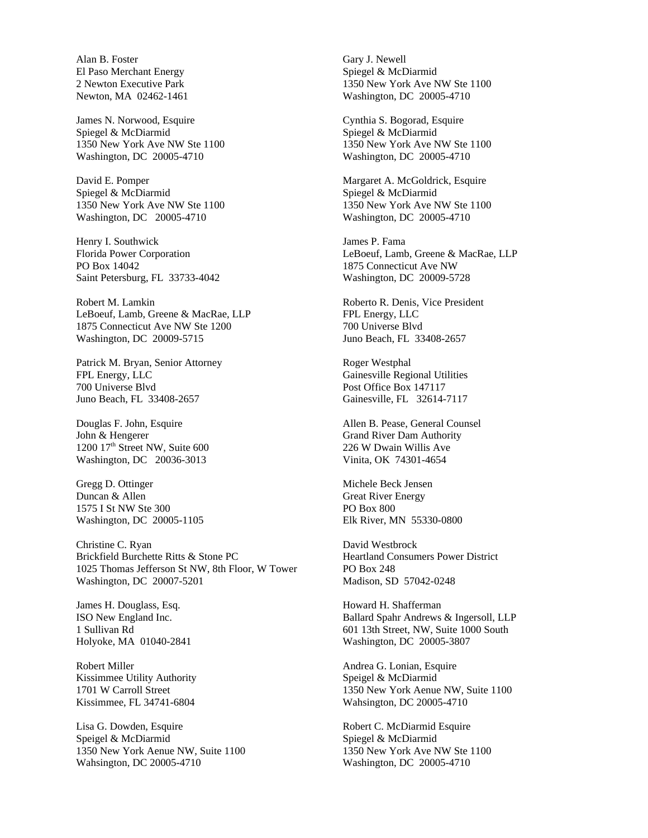Alan B. Foster El Paso Merchant Energy 2 Newton Executive Park Newton, MA 02462-1461

James N. Norwood, Esquire Spiegel & McDiarmid 1350 New York Ave NW Ste 1100 Washington, DC 20005-4710

David E. Pomper Spiegel & McDiarmid 1350 New York Ave NW Ste 1100 Washington, DC 20005-4710

Henry I. Southwick Florida Power Corporation PO Box 14042 Saint Petersburg, FL 33733-4042

Robert M. Lamkin LeBoeuf, Lamb, Greene & MacRae, LLP 1875 Connecticut Ave NW Ste 1200 Washington, DC 20009-5715

Patrick M. Bryan, Senior Attorney FPL Energy, LLC 700 Universe Blvd Juno Beach, FL 33408-2657

Douglas F. John, Esquire John & Hengerer 1200 17<sup>th</sup> Street NW, Suite 600 Washington, DC 20036-3013

Gregg D. Ottinger Duncan & Allen 1575 I St NW Ste 300 Washington, DC 20005-1105

Christine C. Ryan Brickfield Burchette Ritts & Stone PC 1025 Thomas Jefferson St NW, 8th Floor, W Tower Washington, DC 20007-5201

James H. Douglass, Esq. ISO New England Inc. 1 Sullivan Rd Holyoke, MA 01040-2841

Robert Miller Kissimmee Utility Authority 1701 W Carroll Street Kissimmee, FL 34741-6804

Lisa G. Dowden, Esquire Speigel & McDiarmid 1350 New York Aenue NW, Suite 1100 Wahsington, DC 20005-4710

Gary J. Newell Spiegel & McDiarmid 1350 New York Ave NW Ste 1100 Washington, DC 20005-4710

Cynthia S. Bogorad, Esquire Spiegel & McDiarmid 1350 New York Ave NW Ste 1100 Washington, DC 20005-4710

Margaret A. McGoldrick, Esquire Spiegel & McDiarmid 1350 New York Ave NW Ste 1100 Washington, DC 20005-4710

James P. Fama LeBoeuf, Lamb, Greene & MacRae, LLP 1875 Connecticut Ave NW Washington, DC 20009-5728

Roberto R. Denis, Vice President FPL Energy, LLC 700 Universe Blvd Juno Beach, FL 33408-2657

Roger Westphal Gainesville Regional Utilities Post Office Box 147117 Gainesville, FL 32614-7117

Allen B. Pease, General Counsel Grand River Dam Authority 226 W Dwain Willis Ave Vinita, OK 74301-4654

Michele Beck Jensen Great River Energy PO Box 800 Elk River, MN 55330-0800

David Westbrock Heartland Consumers Power District PO Box 248 Madison, SD 57042-0248

Howard H. Shafferman Ballard Spahr Andrews & Ingersoll, LLP 601 13th Street, NW, Suite 1000 South Washington, DC 20005-3807

Andrea G. Lonian, Esquire Speigel & McDiarmid 1350 New York Aenue NW, Suite 1100 Wahsington, DC 20005-4710

Robert C. McDiarmid Esquire Spiegel & McDiarmid 1350 New York Ave NW Ste 1100 Washington, DC 20005-4710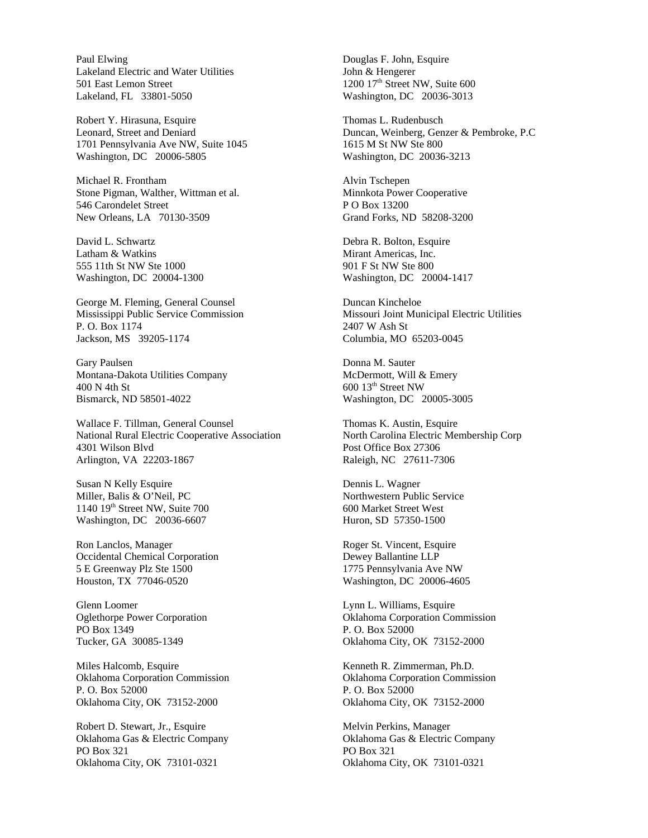Paul Elwing Lakeland Electric and Water Utilities 501 East Lemon Street Lakeland, FL 33801-5050

Robert Y. Hirasuna, Esquire Leonard, Street and Deniard 1701 Pennsylvania Ave NW, Suite 1045 Washington, DC 20006-5805

Michael R. Frontham Stone Pigman, Walther, Wittman et al. 546 Carondelet Street New Orleans, LA 70130-3509

David L. Schwartz Latham & Watkins 555 11th St NW Ste 1000 Washington, DC 20004-1300

George M. Fleming, General Counsel Mississippi Public Service Commission P. O. Box 1174 Jackson, MS 39205-1174

Gary Paulsen Montana-Dakota Utilities Company 400 N 4th St Bismarck, ND 58501-4022

Wallace F. Tillman, General Counsel National Rural Electric Cooperative Association 4301 Wilson Blvd Arlington, VA 22203-1867

Susan N Kelly Esquire Miller, Balis & O'Neil, PC 1140 19<sup>th</sup> Street NW, Suite 700 Washington, DC 20036-6607

Ron Lanclos, Manager Occidental Chemical Corporation 5 E Greenway Plz Ste 1500 Houston, TX 77046-0520

Glenn Loomer Oglethorpe Power Corporation PO Box 1349 Tucker, GA 30085-1349

Miles Halcomb, Esquire Oklahoma Corporation Commission P. O. Box 52000 Oklahoma City, OK 73152-2000

Robert D. Stewart, Jr., Esquire Oklahoma Gas & Electric Company PO Box 321 Oklahoma City, OK 73101-0321

Douglas F. John, Esquire John & Hengerer 1200 17<sup>th</sup> Street NW, Suite 600 Washington, DC 20036-3013

Thomas L. Rudenbusch Duncan, Weinberg, Genzer & Pembroke, P.C 1615 M St NW Ste 800 Washington, DC 20036-3213

Alvin Tschepen Minnkota Power Cooperative P O Box 13200 Grand Forks, ND 58208-3200

Debra R. Bolton, Esquire Mirant Americas, Inc. 901 F St NW Ste 800 Washington, DC 20004-1417

Duncan Kincheloe Missouri Joint Municipal Electric Utilities 2407 W Ash St Columbia, MO 65203-0045

Donna M. Sauter McDermott, Will & Emery 600 13th Street NW Washington, DC 20005-3005

Thomas K. Austin, Esquire North Carolina Electric Membership Corp Post Office Box 27306 Raleigh, NC 27611-7306

Dennis L. Wagner Northwestern Public Service 600 Market Street West Huron, SD 57350-1500

Roger St. Vincent, Esquire Dewey Ballantine LLP 1775 Pennsylvania Ave NW Washington, DC 20006-4605

Lynn L. Williams, Esquire Oklahoma Corporation Commission P. O. Box 52000 Oklahoma City, OK 73152-2000

Kenneth R. Zimmerman, Ph.D. Oklahoma Corporation Commission P. O. Box 52000 Oklahoma City, OK 73152-2000

Melvin Perkins, Manager Oklahoma Gas & Electric Company PO Box 321 Oklahoma City, OK 73101-0321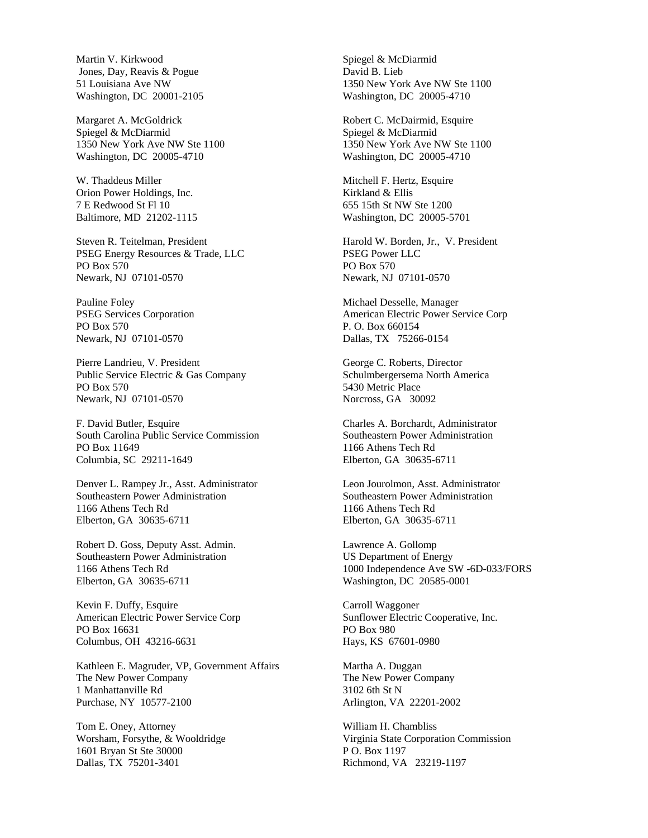Martin V. Kirkwood Jones, Day, Reavis & Pogue 51 Louisiana Ave NW Washington, DC 20001-2105

Margaret A. McGoldrick Spiegel & McDiarmid 1350 New York Ave NW Ste 1100 Washington, DC 20005-4710

W. Thaddeus Miller Orion Power Holdings, Inc. 7 E Redwood St Fl 10 Baltimore, MD 21202-1115

Steven R. Teitelman, President PSEG Energy Resources & Trade, LLC PO Box 570 Newark, NJ 07101-0570

Pauline Foley PSEG Services Corporation PO Box 570 Newark, NJ 07101-0570

Pierre Landrieu, V. President Public Service Electric & Gas Company PO Box 570 Newark, NJ 07101-0570

F. David Butler, Esquire South Carolina Public Service Commission PO Box 11649 Columbia, SC 29211-1649

Denver L. Rampey Jr., Asst. Administrator Southeastern Power Administration 1166 Athens Tech Rd Elberton, GA 30635-6711

Robert D. Goss, Deputy Asst. Admin. Southeastern Power Administration 1166 Athens Tech Rd Elberton, GA 30635-6711

Kevin F. Duffy, Esquire American Electric Power Service Corp PO Box 16631 Columbus, OH 43216-6631

Kathleen E. Magruder, VP, Government Affairs The New Power Company 1 Manhattanville Rd Purchase, NY 10577-2100

Tom E. Oney, Attorney Worsham, Forsythe, & Wooldridge 1601 Bryan St Ste 30000 Dallas, TX 75201-3401

Spiegel & McDiarmid David B. Lieb 1350 New York Ave NW Ste 1100 Washington, DC 20005-4710

Robert C. McDairmid, Esquire Spiegel & McDiarmid 1350 New York Ave NW Ste 1100 Washington, DC 20005-4710

Mitchell F. Hertz, Esquire Kirkland & Ellis 655 15th St NW Ste 1200 Washington, DC 20005-5701

Harold W. Borden, Jr., V. President PSEG Power LLC PO Box 570 Newark, NJ 07101-0570

Michael Desselle, Manager American Electric Power Service Corp P. O. Box 660154 Dallas, TX 75266-0154

George C. Roberts, Director Schulmbergersema North America 5430 Metric Place Norcross, GA 30092

Charles A. Borchardt, Administrator Southeastern Power Administration 1166 Athens Tech Rd Elberton, GA 30635-6711

Leon Jourolmon, Asst. Administrator Southeastern Power Administration 1166 Athens Tech Rd Elberton, GA 30635-6711

Lawrence A. Gollomp US Department of Energy 1000 Independence Ave SW -6D-033/FORS Washington, DC 20585-0001

Carroll Waggoner Sunflower Electric Cooperative, Inc. PO Box 980 Hays, KS 67601-0980

Martha A. Duggan The New Power Company 3102 6th St N Arlington, VA 22201-2002

William H. Chambliss Virginia State Corporation Commission P O. Box 1197 Richmond, VA 23219-1197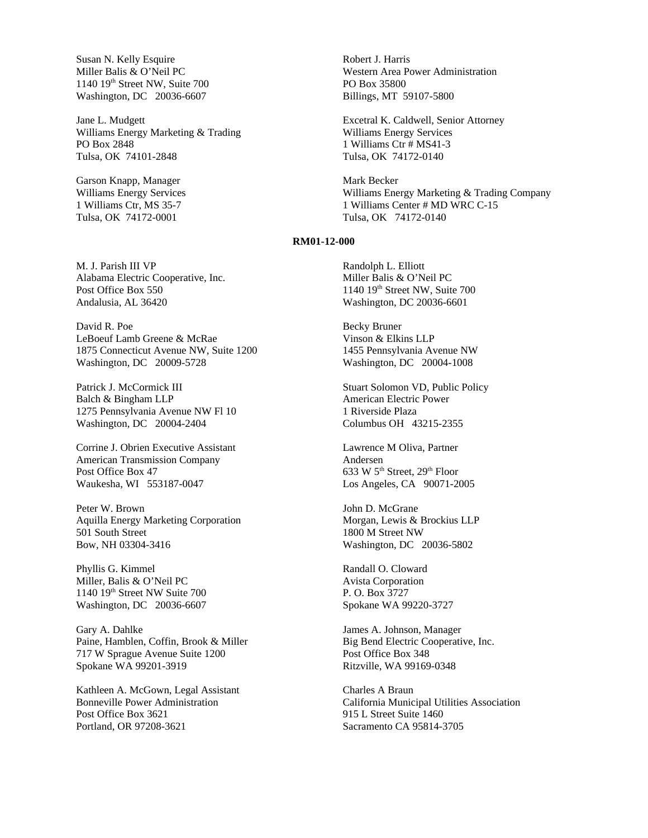Susan N. Kelly Esquire Miller Balis & O'Neil PC 1140 19th Street NW, Suite 700 Washington, DC 20036-6607

Jane L. Mudgett Williams Energy Marketing & Trading PO Box 2848 Tulsa, OK 74101-2848

Garson Knapp, Manager Williams Energy Services 1 Williams Ctr, MS 35-7 Tulsa, OK 74172-0001

M. J. Parish III VP Alabama Electric Cooperative, Inc. Post Office Box 550 Andalusia, AL 36420

David R. Poe LeBoeuf Lamb Greene & McRae 1875 Connecticut Avenue NW, Suite 1200 Washington, DC 20009-5728

Patrick J. McCormick III Balch & Bingham LLP 1275 Pennsylvania Avenue NW Fl 10 Washington, DC 20004-2404

Corrine J. Obrien Executive Assistant American Transmission Company Post Office Box 47 Waukesha, WI 553187-0047

Peter W. Brown Aquilla Energy Marketing Corporation 501 South Street Bow, NH 03304-3416

Phyllis G. Kimmel Miller, Balis & O'Neil PC 1140 19th Street NW Suite 700 Washington, DC 20036-6607

Gary A. Dahlke Paine, Hamblen, Coffin, Brook & Miller 717 W Sprague Avenue Suite 1200 Spokane WA 99201-3919

Kathleen A. McGown, Legal Assistant Bonneville Power Administration Post Office Box 3621 Portland, OR 97208-3621

Robert J. Harris Western Area Power Administration PO Box 35800 Billings, MT 59107-5800

Excetral K. Caldwell, Senior Attorney Williams Energy Services 1 Williams Ctr # MS41-3 Tulsa, OK 74172-0140

Mark Becker Williams Energy Marketing & Trading Company 1 Williams Center # MD WRC C-15 Tulsa, OK 74172-0140

## **RM01-12-000**

Randolph L. Elliott Miller Balis & O'Neil PC 1140 19th Street NW, Suite 700 Washington, DC 20036-6601

Becky Bruner Vinson & Elkins LLP 1455 Pennsylvania Avenue NW Washington, DC 20004-1008

Stuart Solomon VD, Public Policy American Electric Power 1 Riverside Plaza Columbus OH 43215-2355

Lawrence M Oliva, Partner Andersen 633 W 5th Street, 29th Floor Los Angeles, CA 90071-2005

John D. McGrane Morgan, Lewis & Brockius LLP 1800 M Street NW Washington, DC 20036-5802

Randall O. Cloward Avista Corporation P. O. Box 3727 Spokane WA 99220-3727

James A. Johnson, Manager Big Bend Electric Cooperative, Inc. Post Office Box 348 Ritzville, WA 99169-0348

Charles A Braun California Municipal Utilities Association 915 L Street Suite 1460 Sacramento CA 95814-3705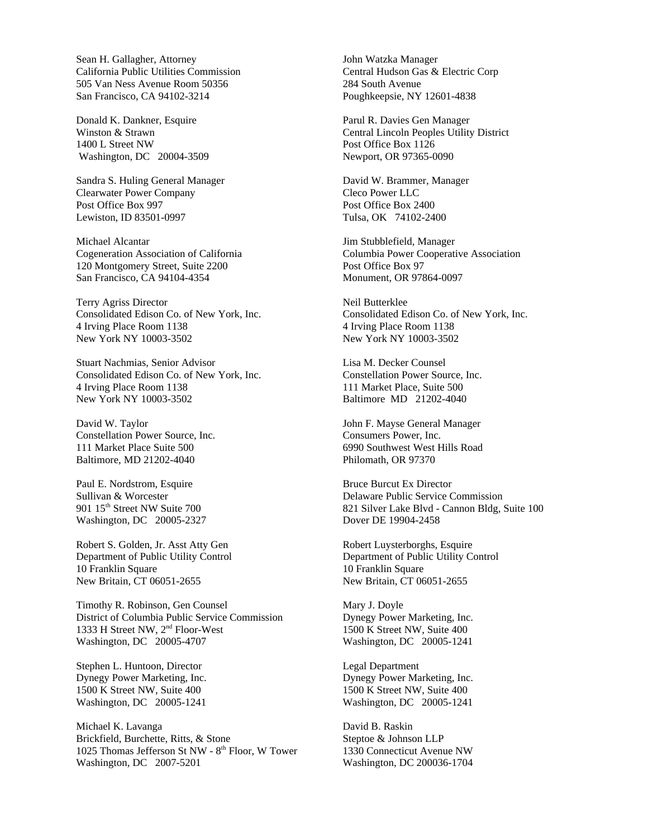Sean H. Gallagher, Attorney California Public Utilities Commission 505 Van Ness Avenue Room 50356 San Francisco, CA 94102-3214

Donald K. Dankner, Esquire Winston & Strawn 1400 L Street NW Washington, DC 20004-3509

Sandra S. Huling General Manager Clearwater Power Company Post Office Box 997 Lewiston, ID 83501-0997

Michael Alcantar Cogeneration Association of California 120 Montgomery Street, Suite 2200 San Francisco, CA 94104-4354

Terry Agriss Director Consolidated Edison Co. of New York, Inc. 4 Irving Place Room 1138 New York NY 10003-3502

Stuart Nachmias, Senior Advisor Consolidated Edison Co. of New York, Inc. 4 Irving Place Room 1138 New York NY 10003-3502

David W. Taylor Constellation Power Source, Inc. 111 Market Place Suite 500 Baltimore, MD 21202-4040

Paul E. Nordstrom, Esquire Sullivan & Worcester 901 15<sup>th</sup> Street NW Suite 700 Washington, DC 20005-2327

Robert S. Golden, Jr. Asst Atty Gen Department of Public Utility Control 10 Franklin Square New Britain, CT 06051-2655

Timothy R. Robinson, Gen Counsel District of Columbia Public Service Commission 1333 H Street NW, 2<sup>nd</sup> Floor-West Washington, DC 20005-4707

Stephen L. Huntoon, Director Dynegy Power Marketing, Inc. 1500 K Street NW, Suite 400 Washington, DC 20005-1241

Michael K. Lavanga Brickfield, Burchette, Ritts, & Stone 1025 Thomas Jefferson St NW - 8<sup>th</sup> Floor, W Tower Washington, DC 2007-5201

John Watzka Manager Central Hudson Gas & Electric Corp 284 South Avenue Poughkeepsie, NY 12601-4838

Parul R. Davies Gen Manager Central Lincoln Peoples Utility District Post Office Box 1126 Newport, OR 97365-0090

David W. Brammer, Manager Cleco Power LLC Post Office Box 2400 Tulsa, OK 74102-2400

Jim Stubblefield, Manager Columbia Power Cooperative Association Post Office Box 97 Monument, OR 97864-0097

Neil Butterklee Consolidated Edison Co. of New York, Inc. 4 Irving Place Room 1138 New York NY 10003-3502

Lisa M. Decker Counsel Constellation Power Source, Inc. 111 Market Place, Suite 500 Baltimore MD 21202-4040

John F. Mayse General Manager Consumers Power, Inc. 6990 Southwest West Hills Road Philomath, OR 97370

Bruce Burcut Ex Director Delaware Public Service Commission 821 Silver Lake Blvd - Cannon Bldg, Suite 100 Dover DE 19904-2458

Robert Luysterborghs, Esquire Department of Public Utility Control 10 Franklin Square New Britain, CT 06051-2655

Mary J. Doyle Dynegy Power Marketing, Inc. 1500 K Street NW, Suite 400 Washington, DC 20005-1241

Legal Department Dynegy Power Marketing, Inc. 1500 K Street NW, Suite 400 Washington, DC 20005-1241

David B. Raskin Steptoe & Johnson LLP 1330 Connecticut Avenue NW Washington, DC 200036-1704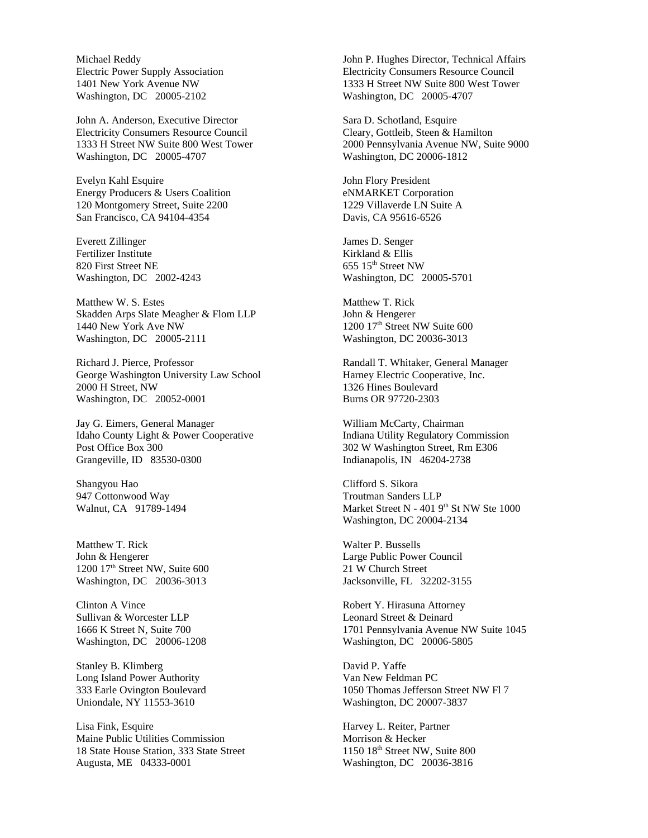Michael Reddy Electric Power Supply Association 1401 New York Avenue NW Washington, DC 20005-2102

John A. Anderson, Executive Director Electricity Consumers Resource Council 1333 H Street NW Suite 800 West Tower Washington, DC 20005-4707

Evelyn Kahl Esquire Energy Producers & Users Coalition 120 Montgomery Street, Suite 2200 San Francisco, CA 94104-4354

Everett Zillinger Fertilizer Institute 820 First Street NE Washington, DC 2002-4243

Matthew W. S. Estes Skadden Arps Slate Meagher & Flom LLP 1440 New York Ave NW Washington, DC 20005-2111

Richard J. Pierce, Professor George Washington University Law School 2000 H Street, NW Washington, DC 20052-0001

Jay G. Eimers, General Manager Idaho County Light & Power Cooperative Post Office Box 300 Grangeville, ID 83530-0300

Shangyou Hao 947 Cottonwood Way Walnut, CA 91789-1494

Matthew T. Rick John & Hengerer 1200 17<sup>th</sup> Street NW, Suite 600 Washington, DC 20036-3013

Clinton A Vince Sullivan & Worcester LLP 1666 K Street N, Suite 700 Washington, DC 20006-1208

Stanley B. Klimberg Long Island Power Authority 333 Earle Ovington Boulevard Uniondale, NY 11553-3610

Lisa Fink, Esquire Maine Public Utilities Commission 18 State House Station, 333 State Street Augusta, ME 04333-0001

John P. Hughes Director, Technical Affairs Electricity Consumers Resource Council 1333 H Street NW Suite 800 West Tower Washington, DC 20005-4707

Sara D. Schotland, Esquire Cleary, Gottleib, Steen & Hamilton 2000 Pennsylvania Avenue NW, Suite 9000 Washington, DC 20006-1812

John Flory President eNMARKET Corporation 1229 Villaverde LN Suite A Davis, CA 95616-6526

James D. Senger Kirkland & Ellis  $655$   $15<sup>th</sup>$  Street NW Washington, DC 20005-5701

Matthew T. Rick John & Hengerer 1200 17<sup>th</sup> Street NW Suite 600 Washington, DC 20036-3013

Randall T. Whitaker, General Manager Harney Electric Cooperative, Inc. 1326 Hines Boulevard Burns OR 97720-2303

William McCarty, Chairman Indiana Utility Regulatory Commission 302 W Washington Street, Rm E306 Indianapolis, IN 46204-2738

Clifford S. Sikora Troutman Sanders LLP Market Street N -  $4019<sup>th</sup>$  St NW Ste 1000 Washington, DC 20004-2134

Walter P. Bussells Large Public Power Council 21 W Church Street Jacksonville, FL 32202-3155

Robert Y. Hirasuna Attorney Leonard Street & Deinard 1701 Pennsylvania Avenue NW Suite 1045 Washington, DC 20006-5805

David P. Yaffe Van New Feldman PC 1050 Thomas Jefferson Street NW Fl 7 Washington, DC 20007-3837

Harvey L. Reiter, Partner Morrison & Hecker 1150 18th Street NW, Suite 800 Washington, DC 20036-3816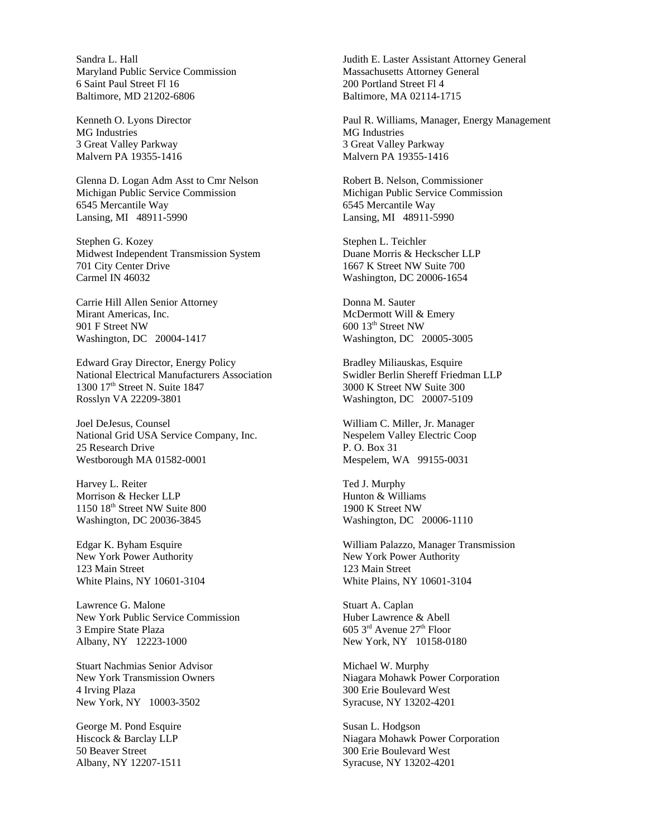Sandra L. Hall Maryland Public Service Commission 6 Saint Paul Street Fl 16 Baltimore, MD 21202-6806

Kenneth O. Lyons Director MG Industries 3 Great Valley Parkway Malvern PA 19355-1416

Glenna D. Logan Adm Asst to Cmr Nelson Michigan Public Service Commission 6545 Mercantile Way Lansing, MI 48911-5990

Stephen G. Kozey Midwest Independent Transmission System 701 City Center Drive Carmel IN 46032

Carrie Hill Allen Senior Attorney Mirant Americas, Inc. 901 F Street NW Washington, DC 20004-1417

Edward Gray Director, Energy Policy National Electrical Manufacturers Association 1300 17<sup>th</sup> Street N. Suite 1847 Rosslyn VA 22209-3801

Joel DeJesus, Counsel National Grid USA Service Company, Inc. 25 Research Drive Westborough MA 01582-0001

Harvey L. Reiter Morrison & Hecker LLP 1150 18<sup>th</sup> Street NW Suite 800 Washington, DC 20036-3845

Edgar K. Byham Esquire New York Power Authority 123 Main Street White Plains, NY 10601-3104

Lawrence G. Malone New York Public Service Commission 3 Empire State Plaza Albany, NY 12223-1000

Stuart Nachmias Senior Advisor New York Transmission Owners 4 Irving Plaza New York, NY 10003-3502

George M. Pond Esquire Hiscock & Barclay LLP 50 Beaver Street Albany, NY 12207-1511

Judith E. Laster Assistant Attorney General Massachusetts Attorney General 200 Portland Street Fl 4 Baltimore, MA 02114-1715

Paul R. Williams, Manager, Energy Management MG Industries 3 Great Valley Parkway Malvern PA 19355-1416

Robert B. Nelson, Commissioner Michigan Public Service Commission 6545 Mercantile Way Lansing, MI 48911-5990

Stephen L. Teichler Duane Morris & Heckscher LLP 1667 K Street NW Suite 700 Washington, DC 20006-1654

Donna M. Sauter McDermott Will & Emery 600 13th Street NW Washington, DC 20005-3005

Bradley Miliauskas, Esquire Swidler Berlin Shereff Friedman LLP 3000 K Street NW Suite 300 Washington, DC 20007-5109

William C. Miller, Jr. Manager Nespelem Valley Electric Coop P. O. Box 31 Mespelem, WA 99155-0031

Ted J. Murphy Hunton & Williams 1900 K Street NW Washington, DC 20006-1110

William Palazzo, Manager Transmission New York Power Authority 123 Main Street White Plains, NY 10601-3104

Stuart A. Caplan Huber Lawrence & Abell  $605$  3<sup>rd</sup> Avenue 27<sup>th</sup> Floor New York, NY 10158-0180

Michael W. Murphy Niagara Mohawk Power Corporation 300 Erie Boulevard West Syracuse, NY 13202-4201

Susan L. Hodgson Niagara Mohawk Power Corporation 300 Erie Boulevard West Syracuse, NY 13202-4201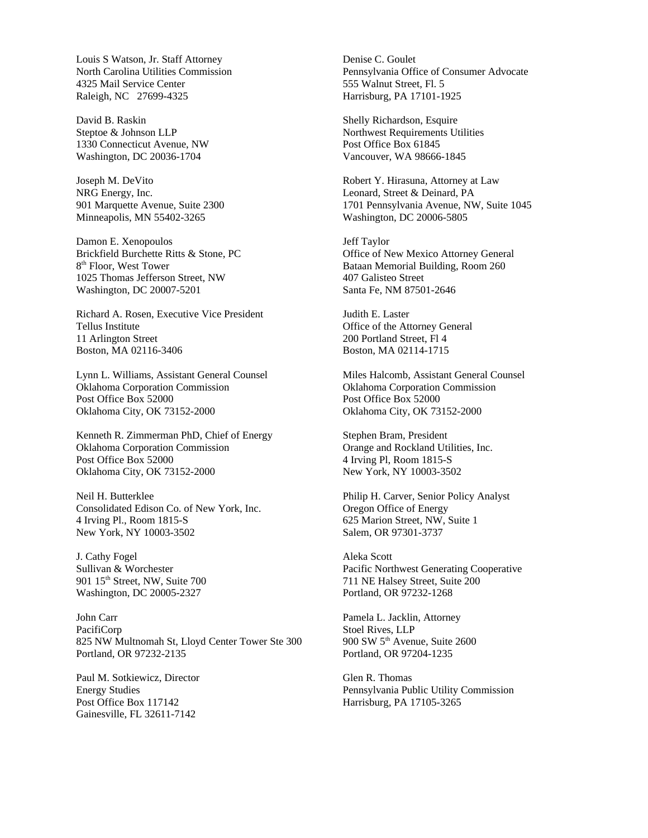Louis S Watson, Jr. Staff Attorney North Carolina Utilities Commission 4325 Mail Service Center Raleigh, NC 27699-4325

David B. Raskin Steptoe & Johnson LLP 1330 Connecticut Avenue, NW Washington, DC 20036-1704

Joseph M. DeVito NRG Energy, Inc. 901 Marquette Avenue, Suite 2300 Minneapolis, MN 55402-3265

Damon E. Xenopoulos Brickfield Burchette Ritts & Stone, PC 8<sup>th</sup> Floor, West Tower 1025 Thomas Jefferson Street, NW Washington, DC 20007-5201

Richard A. Rosen, Executive Vice President Tellus Institute 11 Arlington Street Boston, MA 02116-3406

Lynn L. Williams, Assistant General Counsel Oklahoma Corporation Commission Post Office Box 52000 Oklahoma City, OK 73152-2000

Kenneth R. Zimmerman PhD, Chief of Energy Oklahoma Corporation Commission Post Office Box 52000 Oklahoma City, OK 73152-2000

Neil H. Butterklee Consolidated Edison Co. of New York, Inc. 4 Irving Pl., Room 1815-S New York, NY 10003-3502

J. Cathy Fogel Sullivan & Worchester 901 15th Street, NW, Suite 700 Washington, DC 20005-2327

John Carr PacifiCorp 825 NW Multnomah St, Lloyd Center Tower Ste 300 Portland, OR 97232-2135

Paul M. Sotkiewicz, Director Energy Studies Post Office Box 117142 Gainesville, FL 32611-7142

Denise C. Goulet Pennsylvania Office of Consumer Advocate 555 Walnut Street, Fl. 5 Harrisburg, PA 17101-1925

Shelly Richardson, Esquire Northwest Requirements Utilities Post Office Box 61845 Vancouver, WA 98666-1845

Robert Y. Hirasuna, Attorney at Law Leonard, Street & Deinard, PA 1701 Pennsylvania Avenue, NW, Suite 1045 Washington, DC 20006-5805

Jeff Taylor Office of New Mexico Attorney General Bataan Memorial Building, Room 260 407 Galisteo Street Santa Fe, NM 87501-2646

Judith E. Laster Office of the Attorney General 200 Portland Street, Fl 4 Boston, MA 02114-1715

Miles Halcomb, Assistant General Counsel Oklahoma Corporation Commission Post Office Box 52000 Oklahoma City, OK 73152-2000

Stephen Bram, President Orange and Rockland Utilities, Inc. 4 Irving Pl, Room 1815-S New York, NY 10003-3502

Philip H. Carver, Senior Policy Analyst Oregon Office of Energy 625 Marion Street, NW, Suite 1 Salem, OR 97301-3737

Aleka Scott Pacific Northwest Generating Cooperative 711 NE Halsey Street, Suite 200 Portland, OR 97232-1268

Pamela L. Jacklin, Attorney Stoel Rives, LLP 900 SW 5th Avenue, Suite 2600 Portland, OR 97204-1235

Glen R. Thomas Pennsylvania Public Utility Commission Harrisburg, PA 17105-3265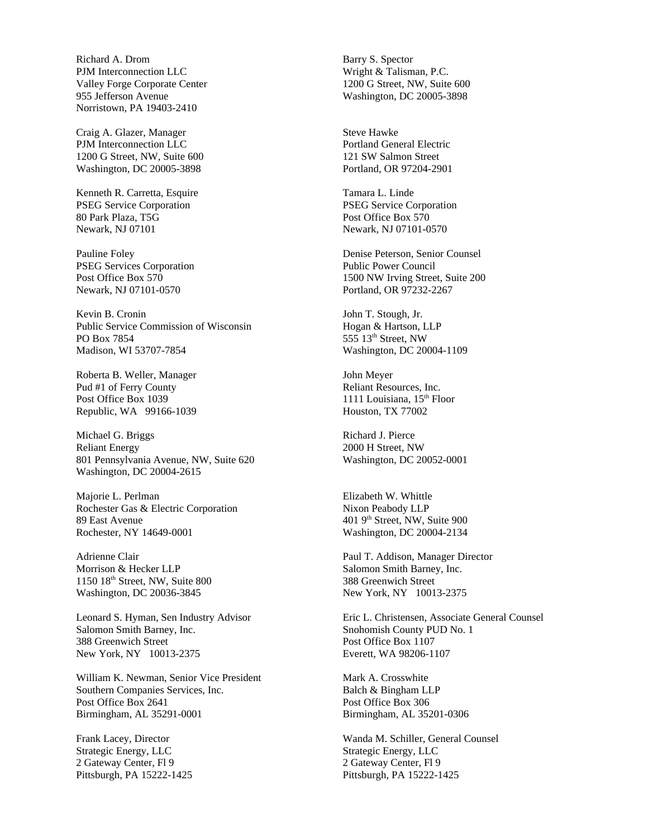Richard A. Drom PJM Interconnection LLC Valley Forge Corporate Center 955 Jefferson Avenue Norristown, PA 19403-2410

Craig A. Glazer, Manager PJM Interconnection LLC 1200 G Street, NW, Suite 600 Washington, DC 20005-3898

Kenneth R. Carretta, Esquire PSEG Service Corporation 80 Park Plaza, T5G Newark, NJ 07101

Pauline Foley PSEG Services Corporation Post Office Box 570 Newark, NJ 07101-0570

Kevin B. Cronin Public Service Commission of Wisconsin PO Box 7854 Madison, WI 53707-7854

Roberta B. Weller, Manager Pud #1 of Ferry County Post Office Box 1039 Republic, WA 99166-1039

Michael G. Briggs Reliant Energy 801 Pennsylvania Avenue, NW, Suite 620 Washington, DC 20004-2615

Majorie L. Perlman Rochester Gas & Electric Corporation 89 East Avenue Rochester, NY 14649-0001

Adrienne Clair Morrison & Hecker LLP 1150 18th Street, NW, Suite 800 Washington, DC 20036-3845

Leonard S. Hyman, Sen Industry Advisor Salomon Smith Barney, Inc. 388 Greenwich Street New York, NY 10013-2375

William K. Newman, Senior Vice President Southern Companies Services, Inc. Post Office Box 2641 Birmingham, AL 35291-0001

Frank Lacey, Director Strategic Energy, LLC 2 Gateway Center, Fl 9 Pittsburgh, PA 15222-1425 Barry S. Spector Wright & Talisman, P.C. 1200 G Street, NW, Suite 600 Washington, DC 20005-3898

Steve Hawke Portland General Electric 121 SW Salmon Street Portland, OR 97204-2901

Tamara L. Linde PSEG Service Corporation Post Office Box 570 Newark, NJ 07101-0570

Denise Peterson, Senior Counsel Public Power Council 1500 NW Irving Street, Suite 200 Portland, OR 97232-2267

John T. Stough, Jr. Hogan & Hartson, LLP 555 13th Street, NW Washington, DC 20004-1109

John Meyer Reliant Resources, Inc. 1111 Louisiana, 15<sup>th</sup> Floor Houston, TX 77002

Richard J. Pierce 2000 H Street, NW Washington, DC 20052-0001

Elizabeth W. Whittle Nixon Peabody LLP 401 9th Street, NW, Suite 900 Washington, DC 20004-2134

Paul T. Addison, Manager Director Salomon Smith Barney, Inc. 388 Greenwich Street New York, NY 10013-2375

Eric L. Christensen, Associate General Counsel Snohomish County PUD No. 1 Post Office Box 1107 Everett, WA 98206-1107

Mark A. Crosswhite Balch & Bingham LLP Post Office Box 306 Birmingham, AL 35201-0306

Wanda M. Schiller, General Counsel Strategic Energy, LLC 2 Gateway Center, Fl 9 Pittsburgh, PA 15222-1425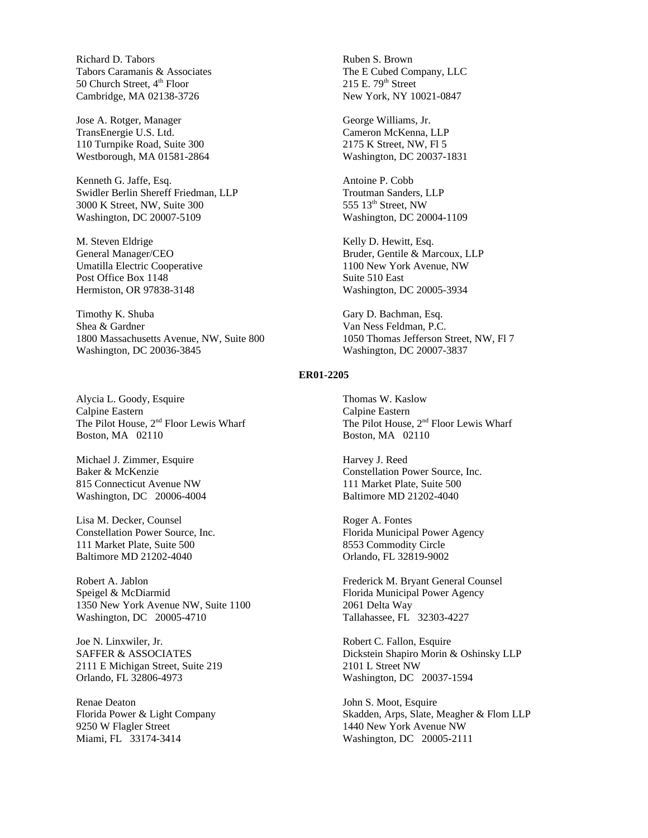Richard D. Tabors Tabors Caramanis & Associates 50 Church Street, 4<sup>th</sup> Floor Cambridge, MA 02138-3726

Jose A. Rotger, Manager TransEnergie U.S. Ltd. 110 Turnpike Road, Suite 300 Westborough, MA 01581-2864

Kenneth G. Jaffe, Esq. Swidler Berlin Shereff Friedman, LLP 3000 K Street, NW, Suite 300 Washington, DC 20007-5109

M. Steven Eldrige General Manager/CEO Umatilla Electric Cooperative Post Office Box 1148 Hermiston, OR 97838-3148

Timothy K. Shuba Shea & Gardner 1800 Massachusetts Avenue, NW, Suite 800 Washington, DC 20036-3845

Alycia L. Goody, Esquire Calpine Eastern The Pilot House, 2<sup>nd</sup> Floor Lewis Wharf Boston, MA 02110

Michael J. Zimmer, Esquire Baker & McKenzie 815 Connecticut Avenue NW Washington, DC 20006-4004

Lisa M. Decker, Counsel Constellation Power Source, Inc. 111 Market Plate, Suite 500 Baltimore MD 21202-4040

Robert A. Jablon Speigel & McDiarmid 1350 New York Avenue NW, Suite 1100 Washington, DC 20005-4710

Joe N. Linxwiler, Jr. SAFFER & ASSOCIATES 2111 E Michigan Street, Suite 219 Orlando, FL 32806-4973

Renae Deaton Florida Power & Light Company 9250 W Flagler Street Miami, FL 33174-3414

Ruben S. Brown The E Cubed Company, LLC  $215$  E.  $79<sup>th</sup>$  Street New York, NY 10021-0847

George Williams, Jr. Cameron McKenna, LLP 2175 K Street, NW, Fl 5 Washington, DC 20037-1831

Antoine P. Cobb Troutman Sanders, LLP 555 13<sup>th</sup> Street, NW Washington, DC 20004-1109

Kelly D. Hewitt, Esq. Bruder, Gentile & Marcoux, LLP 1100 New York Avenue, NW Suite 510 East Washington, DC 20005-3934

Gary D. Bachman, Esq. Van Ness Feldman, P.C. 1050 Thomas Jefferson Street, NW, Fl 7 Washington, DC 20007-3837

#### **ER01-2205**

Thomas W. Kaslow Calpine Eastern The Pilot House, 2<sup>nd</sup> Floor Lewis Wharf Boston, MA 02110

Harvey J. Reed Constellation Power Source, Inc. 111 Market Plate, Suite 500 Baltimore MD 21202-4040

Roger A. Fontes Florida Municipal Power Agency 8553 Commodity Circle Orlando, FL 32819-9002

Frederick M. Bryant General Counsel Florida Municipal Power Agency 2061 Delta Way Tallahassee, FL 32303-4227

Robert C. Fallon, Esquire Dickstein Shapiro Morin & Oshinsky LLP 2101 L Street NW Washington, DC 20037-1594

John S. Moot, Esquire Skadden, Arps, Slate, Meagher & Flom LLP 1440 New York Avenue NW Washington, DC 20005-2111